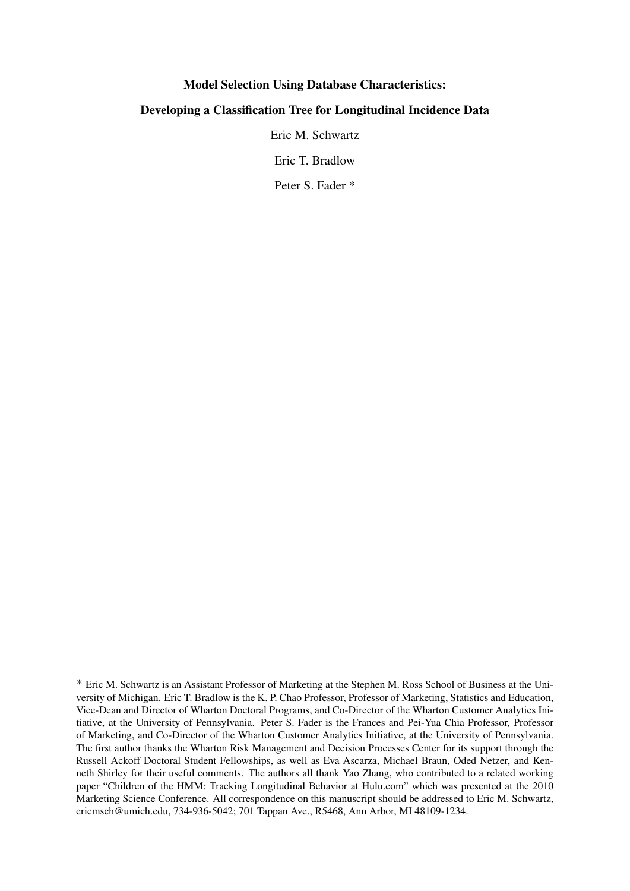# Model Selection Using Database Characteristics: Developing a Classification Tree for Longitudinal Incidence Data

Eric M. Schwartz

Eric T. Bradlow

Peter S. Fader \*

<sup>\*</sup> Eric M. Schwartz is an Assistant Professor of Marketing at the Stephen M. Ross School of Business at the University of Michigan. Eric T. Bradlow is the K. P. Chao Professor, Professor of Marketing, Statistics and Education, Vice-Dean and Director of Wharton Doctoral Programs, and Co-Director of the Wharton Customer Analytics Initiative, at the University of Pennsylvania. Peter S. Fader is the Frances and Pei-Yua Chia Professor, Professor of Marketing, and Co-Director of the Wharton Customer Analytics Initiative, at the University of Pennsylvania. The first author thanks the Wharton Risk Management and Decision Processes Center for its support through the Russell Ackoff Doctoral Student Fellowships, as well as Eva Ascarza, Michael Braun, Oded Netzer, and Kenneth Shirley for their useful comments. The authors all thank Yao Zhang, who contributed to a related working paper "Children of the HMM: Tracking Longitudinal Behavior at Hulu.com" which was presented at the 2010 Marketing Science Conference. All correspondence on this manuscript should be addressed to Eric M. Schwartz, ericmsch@umich.edu, 734-936-5042; 701 Tappan Ave., R5468, Ann Arbor, MI 48109-1234.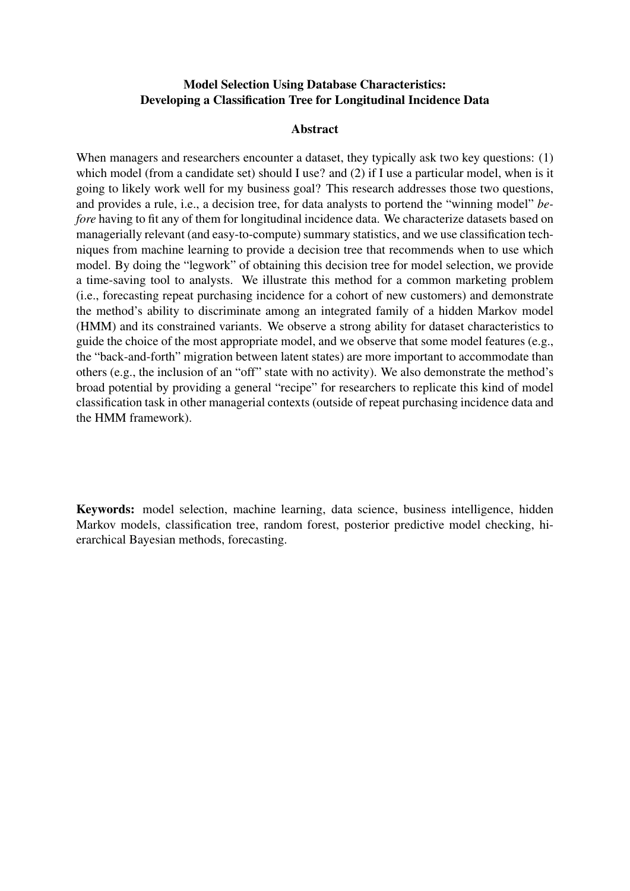# Model Selection Using Database Characteristics: Developing a Classification Tree for Longitudinal Incidence Data

### Abstract

When managers and researchers encounter a dataset, they typically ask two key questions: (1) which model (from a candidate set) should I use? and (2) if I use a particular model, when is it going to likely work well for my business goal? This research addresses those two questions, and provides a rule, i.e., a decision tree, for data analysts to portend the "winning model" *before* having to fit any of them for longitudinal incidence data. We characterize datasets based on managerially relevant (and easy-to-compute) summary statistics, and we use classification techniques from machine learning to provide a decision tree that recommends when to use which model. By doing the "legwork" of obtaining this decision tree for model selection, we provide a time-saving tool to analysts. We illustrate this method for a common marketing problem (i.e., forecasting repeat purchasing incidence for a cohort of new customers) and demonstrate the method's ability to discriminate among an integrated family of a hidden Markov model (HMM) and its constrained variants. We observe a strong ability for dataset characteristics to guide the choice of the most appropriate model, and we observe that some model features (e.g., the "back-and-forth" migration between latent states) are more important to accommodate than others (e.g., the inclusion of an "off" state with no activity). We also demonstrate the method's broad potential by providing a general "recipe" for researchers to replicate this kind of model classification task in other managerial contexts (outside of repeat purchasing incidence data and the HMM framework).

Keywords: model selection, machine learning, data science, business intelligence, hidden Markov models, classification tree, random forest, posterior predictive model checking, hierarchical Bayesian methods, forecasting.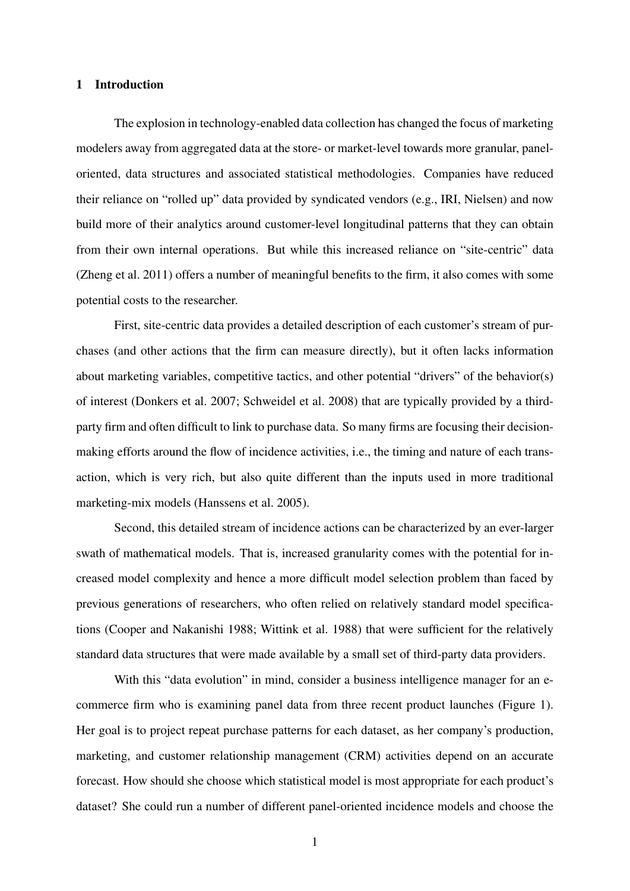# 1 Introduction

The explosion in technology-enabled data collection has changed the focus of marketing modelers away from aggregated data at the store- or market-level towards more granular, paneloriented, data structures and associated statistical methodologies. Companies have reduced their reliance on "rolled up" data provided by syndicated vendors (e.g., IRI, Nielsen) and now build more of their analytics around customer-level longitudinal patterns that they can obtain from their own internal operations. But while this increased reliance on "site-centric" data (Zheng et al. 2011) offers a number of meaningful benefits to the firm, it also comes with some potential costs to the researcher.

First, site-centric data provides a detailed description of each customer's stream of purchases (and other actions that the firm can measure directly), but it often lacks information about marketing variables, competitive tactics, and other potential "drivers" of the behavior(s) of interest (Donkers et al. 2007; Schweidel et al. 2008) that are typically provided by a thirdparty firm and often difficult to link to purchase data. So many firms are focusing their decisionmaking efforts around the flow of incidence activities, i.e., the timing and nature of each transaction, which is very rich, but also quite different than the inputs used in more traditional marketing-mix models (Hanssens et al. 2005).

Second, this detailed stream of incidence actions can be characterized by an ever-larger swath of mathematical models. That is, increased granularity comes with the potential for increased model complexity and hence a more difficult model selection problem than faced by previous generations of researchers, who often relied on relatively standard model specifications (Cooper and Nakanishi 1988; Wittink et al. 1988) that were sufficient for the relatively standard data structures that were made available by a small set of third-party data providers.

With this "data evolution" in mind, consider a business intelligence manager for an ecommerce firm who is examining panel data from three recent product launches (Figure 1). Her goal is to project repeat purchase patterns for each dataset, as her company's production, marketing, and customer relationship management (CRM) activities depend on an accurate forecast. How should she choose which statistical model is most appropriate for each product's dataset? She could run a number of different panel-oriented incidence models and choose the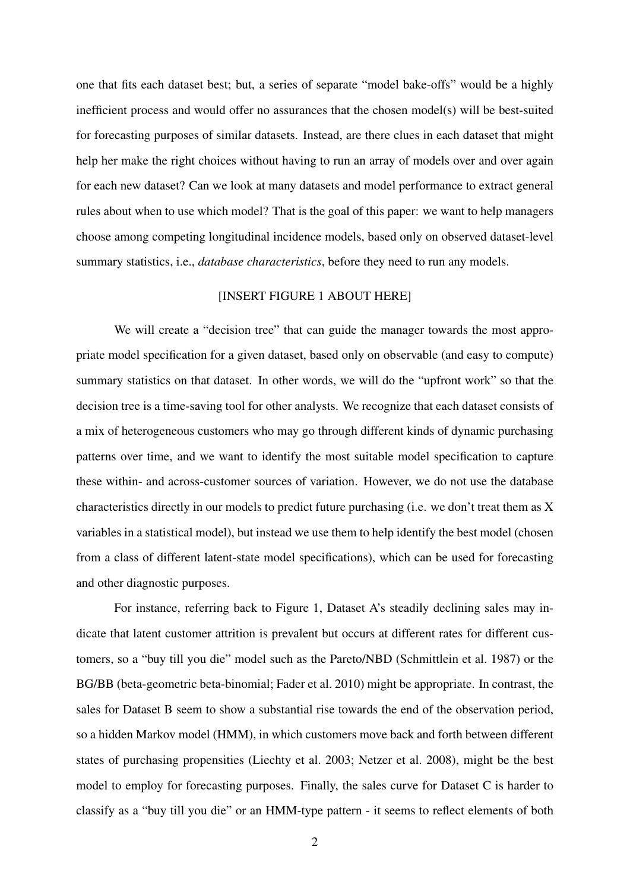one that fits each dataset best; but, a series of separate "model bake-offs" would be a highly inefficient process and would offer no assurances that the chosen model(s) will be best-suited for forecasting purposes of similar datasets. Instead, are there clues in each dataset that might help her make the right choices without having to run an array of models over and over again for each new dataset? Can we look at many datasets and model performance to extract general rules about when to use which model? That is the goal of this paper: we want to help managers choose among competing longitudinal incidence models, based only on observed dataset-level summary statistics, i.e., *database characteristics*, before they need to run any models.

# [INSERT FIGURE 1 ABOUT HERE]

We will create a "decision tree" that can guide the manager towards the most appropriate model specification for a given dataset, based only on observable (and easy to compute) summary statistics on that dataset. In other words, we will do the "upfront work" so that the decision tree is a time-saving tool for other analysts. We recognize that each dataset consists of a mix of heterogeneous customers who may go through different kinds of dynamic purchasing patterns over time, and we want to identify the most suitable model specification to capture these within- and across-customer sources of variation. However, we do not use the database characteristics directly in our models to predict future purchasing (i.e. we don't treat them as X variables in a statistical model), but instead we use them to help identify the best model (chosen from a class of different latent-state model specifications), which can be used for forecasting and other diagnostic purposes.

For instance, referring back to Figure 1, Dataset A's steadily declining sales may indicate that latent customer attrition is prevalent but occurs at different rates for different customers, so a "buy till you die" model such as the Pareto/NBD (Schmittlein et al. 1987) or the BG/BB (beta-geometric beta-binomial; Fader et al. 2010) might be appropriate. In contrast, the sales for Dataset B seem to show a substantial rise towards the end of the observation period, so a hidden Markov model (HMM), in which customers move back and forth between different states of purchasing propensities (Liechty et al. 2003; Netzer et al. 2008), might be the best model to employ for forecasting purposes. Finally, the sales curve for Dataset C is harder to classify as a "buy till you die" or an HMM-type pattern - it seems to reflect elements of both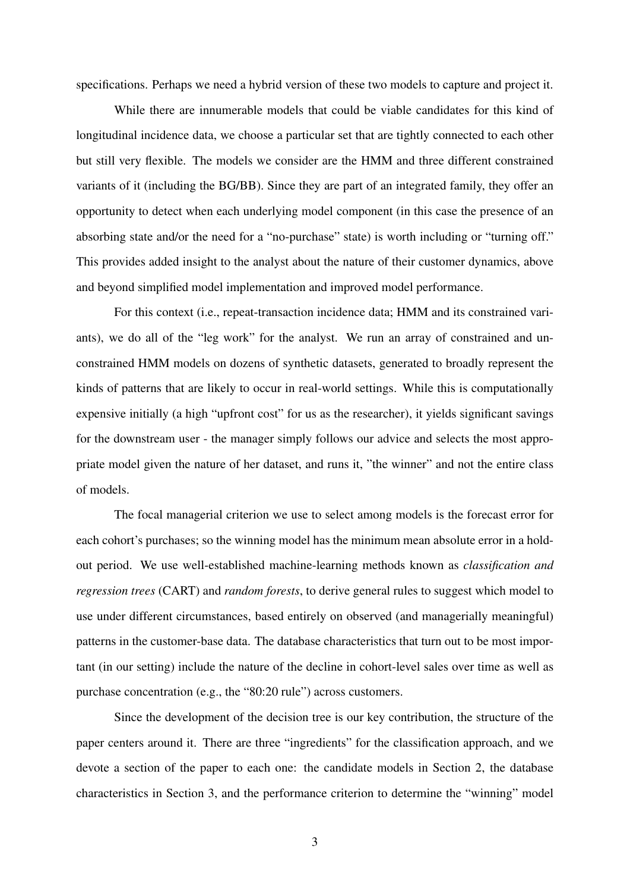specifications. Perhaps we need a hybrid version of these two models to capture and project it.

While there are innumerable models that could be viable candidates for this kind of longitudinal incidence data, we choose a particular set that are tightly connected to each other but still very flexible. The models we consider are the HMM and three different constrained variants of it (including the BG/BB). Since they are part of an integrated family, they offer an opportunity to detect when each underlying model component (in this case the presence of an absorbing state and/or the need for a "no-purchase" state) is worth including or "turning off." This provides added insight to the analyst about the nature of their customer dynamics, above and beyond simplified model implementation and improved model performance.

For this context (i.e., repeat-transaction incidence data; HMM and its constrained variants), we do all of the "leg work" for the analyst. We run an array of constrained and unconstrained HMM models on dozens of synthetic datasets, generated to broadly represent the kinds of patterns that are likely to occur in real-world settings. While this is computationally expensive initially (a high "upfront cost" for us as the researcher), it yields significant savings for the downstream user - the manager simply follows our advice and selects the most appropriate model given the nature of her dataset, and runs it, "the winner" and not the entire class of models.

The focal managerial criterion we use to select among models is the forecast error for each cohort's purchases; so the winning model has the minimum mean absolute error in a holdout period. We use well-established machine-learning methods known as *classification and regression trees* (CART) and *random forests*, to derive general rules to suggest which model to use under different circumstances, based entirely on observed (and managerially meaningful) patterns in the customer-base data. The database characteristics that turn out to be most important (in our setting) include the nature of the decline in cohort-level sales over time as well as purchase concentration (e.g., the "80:20 rule") across customers.

Since the development of the decision tree is our key contribution, the structure of the paper centers around it. There are three "ingredients" for the classification approach, and we devote a section of the paper to each one: the candidate models in Section 2, the database characteristics in Section 3, and the performance criterion to determine the "winning" model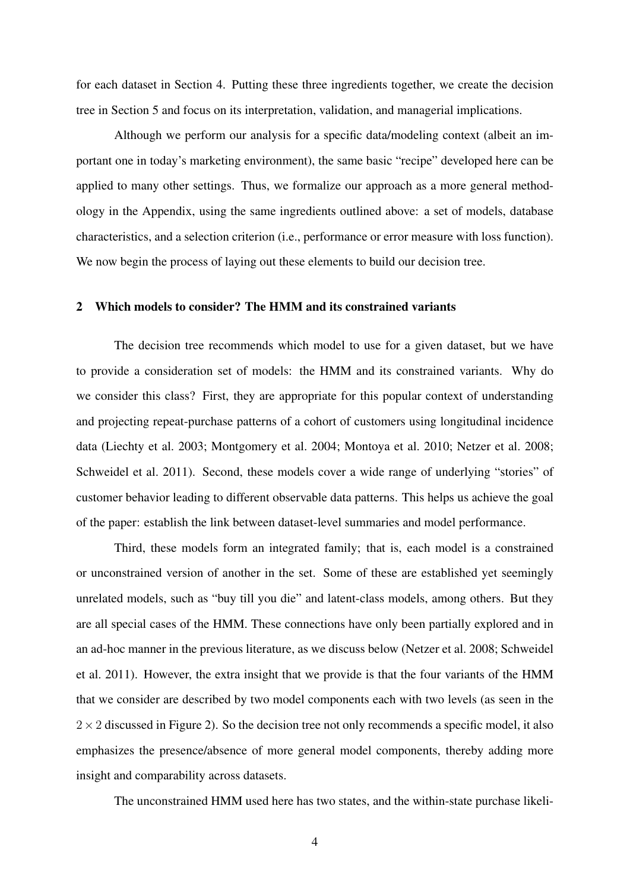for each dataset in Section 4. Putting these three ingredients together, we create the decision tree in Section 5 and focus on its interpretation, validation, and managerial implications.

Although we perform our analysis for a specific data/modeling context (albeit an important one in today's marketing environment), the same basic "recipe" developed here can be applied to many other settings. Thus, we formalize our approach as a more general methodology in the Appendix, using the same ingredients outlined above: a set of models, database characteristics, and a selection criterion (i.e., performance or error measure with loss function). We now begin the process of laying out these elements to build our decision tree.

# 2 Which models to consider? The HMM and its constrained variants

The decision tree recommends which model to use for a given dataset, but we have to provide a consideration set of models: the HMM and its constrained variants. Why do we consider this class? First, they are appropriate for this popular context of understanding and projecting repeat-purchase patterns of a cohort of customers using longitudinal incidence data (Liechty et al. 2003; Montgomery et al. 2004; Montoya et al. 2010; Netzer et al. 2008; Schweidel et al. 2011). Second, these models cover a wide range of underlying "stories" of customer behavior leading to different observable data patterns. This helps us achieve the goal of the paper: establish the link between dataset-level summaries and model performance.

Third, these models form an integrated family; that is, each model is a constrained or unconstrained version of another in the set. Some of these are established yet seemingly unrelated models, such as "buy till you die" and latent-class models, among others. But they are all special cases of the HMM. These connections have only been partially explored and in an ad-hoc manner in the previous literature, as we discuss below (Netzer et al. 2008; Schweidel et al. 2011). However, the extra insight that we provide is that the four variants of the HMM that we consider are described by two model components each with two levels (as seen in the  $2 \times 2$  discussed in Figure 2). So the decision tree not only recommends a specific model, it also emphasizes the presence/absence of more general model components, thereby adding more insight and comparability across datasets.

The unconstrained HMM used here has two states, and the within-state purchase likeli-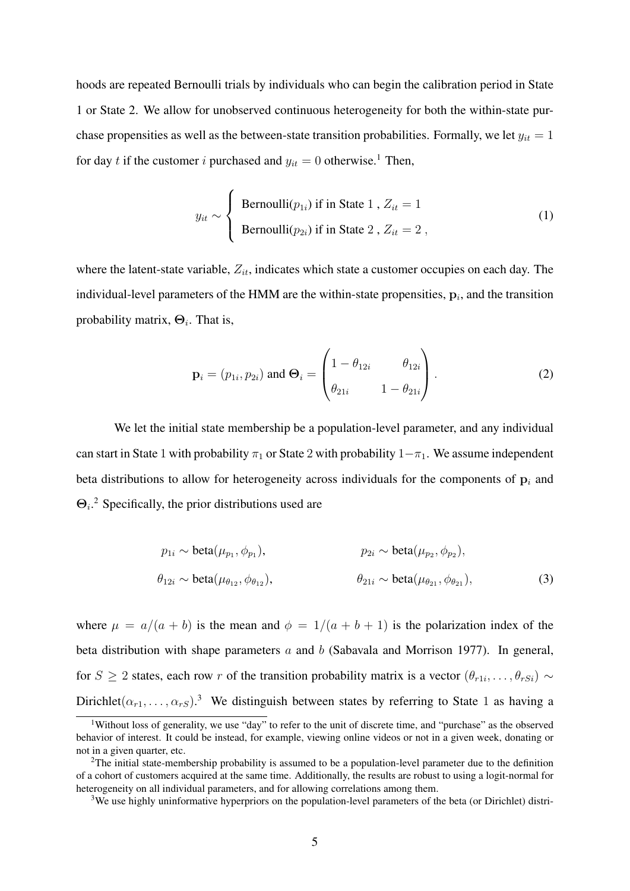hoods are repeated Bernoulli trials by individuals who can begin the calibration period in State 1 or State 2. We allow for unobserved continuous heterogeneity for both the within-state purchase propensities as well as the between-state transition probabilities. Formally, we let  $y_{it} = 1$ for day t if the customer i purchased and  $y_{it} = 0$  otherwise.<sup>1</sup> Then,

$$
y_{it} \sim \left\{ \begin{array}{l} \text{Bernoulli}(p_{1i}) \text{ if in State } 1 \text{, } Z_{it} = 1 \\ \text{Bernoulli}(p_{2i}) \text{ if in State } 2 \text{, } Z_{it} = 2 \text{,} \end{array} \right. \tag{1}
$$

where the latent-state variable,  $Z_{it}$ , indicates which state a customer occupies on each day. The individual-level parameters of the HMM are the within-state propensities,  $p_i$ , and the transition probability matrix,  $\Theta_i$ . That is,

$$
\mathbf{p}_{i} = (p_{1i}, p_{2i}) \text{ and } \mathbf{\Theta}_{i} = \begin{pmatrix} 1 - \theta_{12i} & \theta_{12i} \\ \theta_{21i} & 1 - \theta_{21i} \end{pmatrix}.
$$
 (2)

We let the initial state membership be a population-level parameter, and any individual can start in State 1 with probability  $\pi_1$  or State 2 with probability  $1-\pi_1$ . We assume independent beta distributions to allow for heterogeneity across individuals for the components of  $p_i$  and  $\Theta_i$ <sup>2</sup> Specifically, the prior distributions used are

$$
p_{1i} \sim \text{beta}(\mu_{p_1}, \phi_{p_1}), \qquad p_{2i} \sim \text{beta}(\mu_{p_2}, \phi_{p_2}),
$$
  
\n
$$
\theta_{12i} \sim \text{beta}(\mu_{\theta_{12}}, \phi_{\theta_{12}}), \qquad \theta_{21i} \sim \text{beta}(\mu_{\theta_{21}}, \phi_{\theta_{21}}), \qquad (3)
$$

where  $\mu = a/(a + b)$  is the mean and  $\phi = 1/(a + b + 1)$  is the polarization index of the beta distribution with shape parameters  $a$  and  $b$  (Sabavala and Morrison 1977). In general, for  $S \ge 2$  states, each row r of the transition probability matrix is a vector  $(\theta_{r1i}, \dots, \theta_{rSi}) \sim$ Dirichlet $(\alpha_{r1}, \ldots, \alpha_{rS})$ <sup>3</sup>. We distinguish between states by referring to State 1 as having a

 $\frac{1}{1}$ Without loss of generality, we use "day" to refer to the unit of discrete time, and "purchase" as the observed behavior of interest. It could be instead, for example, viewing online videos or not in a given week, donating or not in a given quarter, etc.

 $2$ The initial state-membership probability is assumed to be a population-level parameter due to the definition of a cohort of customers acquired at the same time. Additionally, the results are robust to using a logit-normal for heterogeneity on all individual parameters, and for allowing correlations among them.

<sup>&</sup>lt;sup>3</sup>We use highly uninformative hyperpriors on the population-level parameters of the beta (or Dirichlet) distri-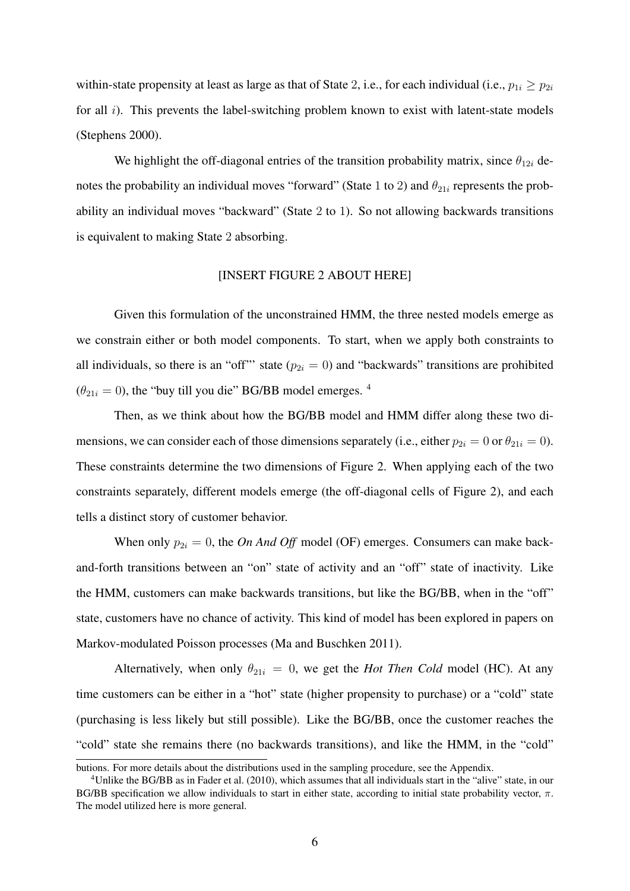within-state propensity at least as large as that of State 2, i.e., for each individual (i.e.,  $p_{1i} \geq p_{2i}$ for all  $i$ ). This prevents the label-switching problem known to exist with latent-state models (Stephens 2000).

We highlight the off-diagonal entries of the transition probability matrix, since  $\theta_{12i}$  denotes the probability an individual moves "forward" (State 1 to 2) and  $\theta_{21i}$  represents the probability an individual moves "backward" (State 2 to 1). So not allowing backwards transitions is equivalent to making State 2 absorbing.

# [INSERT FIGURE 2 ABOUT HERE]

Given this formulation of the unconstrained HMM, the three nested models emerge as we constrain either or both model components. To start, when we apply both constraints to all individuals, so there is an "off" state ( $p_{2i} = 0$ ) and "backwards" transitions are prohibited  $(\theta_{21i} = 0)$ , the "buy till you die" BG/BB model emerges. <sup>4</sup>

Then, as we think about how the BG/BB model and HMM differ along these two dimensions, we can consider each of those dimensions separately (i.e., either  $p_{2i} = 0$  or  $\theta_{21i} = 0$ ). These constraints determine the two dimensions of Figure 2. When applying each of the two constraints separately, different models emerge (the off-diagonal cells of Figure 2), and each tells a distinct story of customer behavior.

When only  $p_{2i} = 0$ , the *On And Off* model (OF) emerges. Consumers can make backand-forth transitions between an "on" state of activity and an "off" state of inactivity. Like the HMM, customers can make backwards transitions, but like the BG/BB, when in the "off" state, customers have no chance of activity. This kind of model has been explored in papers on Markov-modulated Poisson processes (Ma and Buschken 2011).

Alternatively, when only  $\theta_{21i} = 0$ , we get the *Hot Then Cold* model (HC). At any time customers can be either in a "hot" state (higher propensity to purchase) or a "cold" state (purchasing is less likely but still possible). Like the BG/BB, once the customer reaches the "cold" state she remains there (no backwards transitions), and like the HMM, in the "cold"

butions. For more details about the distributions used in the sampling procedure, see the Appendix.

<sup>4</sup>Unlike the BG/BB as in Fader et al. (2010), which assumes that all individuals start in the "alive" state, in our BG/BB specification we allow individuals to start in either state, according to initial state probability vector,  $\pi$ . The model utilized here is more general.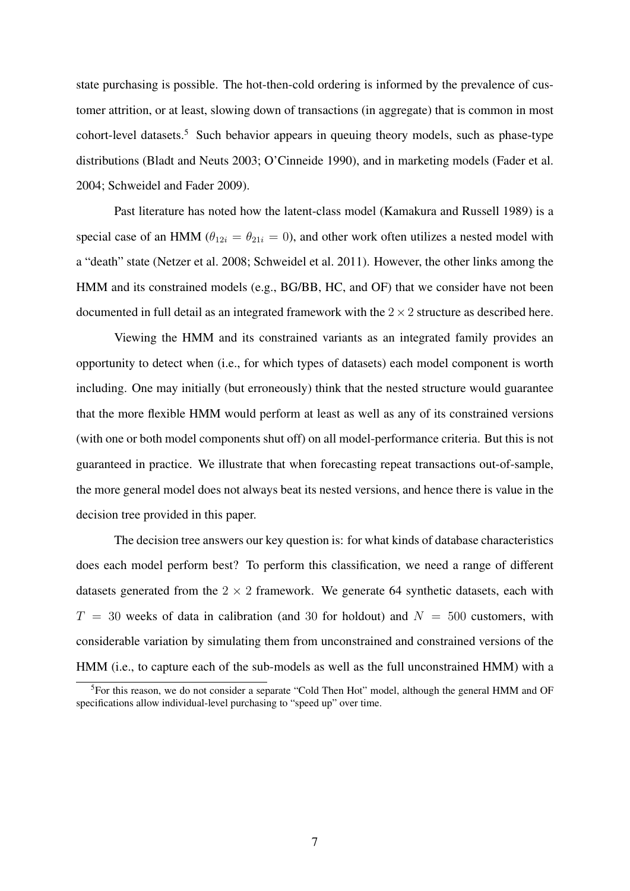state purchasing is possible. The hot-then-cold ordering is informed by the prevalence of customer attrition, or at least, slowing down of transactions (in aggregate) that is common in most cohort-level datasets.<sup>5</sup> Such behavior appears in queuing theory models, such as phase-type distributions (Bladt and Neuts 2003; O'Cinneide 1990), and in marketing models (Fader et al. 2004; Schweidel and Fader 2009).

Past literature has noted how the latent-class model (Kamakura and Russell 1989) is a special case of an HMM ( $\theta_{12i} = \theta_{21i} = 0$ ), and other work often utilizes a nested model with a "death" state (Netzer et al. 2008; Schweidel et al. 2011). However, the other links among the HMM and its constrained models (e.g., BG/BB, HC, and OF) that we consider have not been documented in full detail as an integrated framework with the  $2 \times 2$  structure as described here.

Viewing the HMM and its constrained variants as an integrated family provides an opportunity to detect when (i.e., for which types of datasets) each model component is worth including. One may initially (but erroneously) think that the nested structure would guarantee that the more flexible HMM would perform at least as well as any of its constrained versions (with one or both model components shut off) on all model-performance criteria. But this is not guaranteed in practice. We illustrate that when forecasting repeat transactions out-of-sample, the more general model does not always beat its nested versions, and hence there is value in the decision tree provided in this paper.

The decision tree answers our key question is: for what kinds of database characteristics does each model perform best? To perform this classification, we need a range of different datasets generated from the  $2 \times 2$  framework. We generate 64 synthetic datasets, each with  $T = 30$  weeks of data in calibration (and 30 for holdout) and  $N = 500$  customers, with considerable variation by simulating them from unconstrained and constrained versions of the HMM (i.e., to capture each of the sub-models as well as the full unconstrained HMM) with a

<sup>5</sup>For this reason, we do not consider a separate "Cold Then Hot" model, although the general HMM and OF specifications allow individual-level purchasing to "speed up" over time.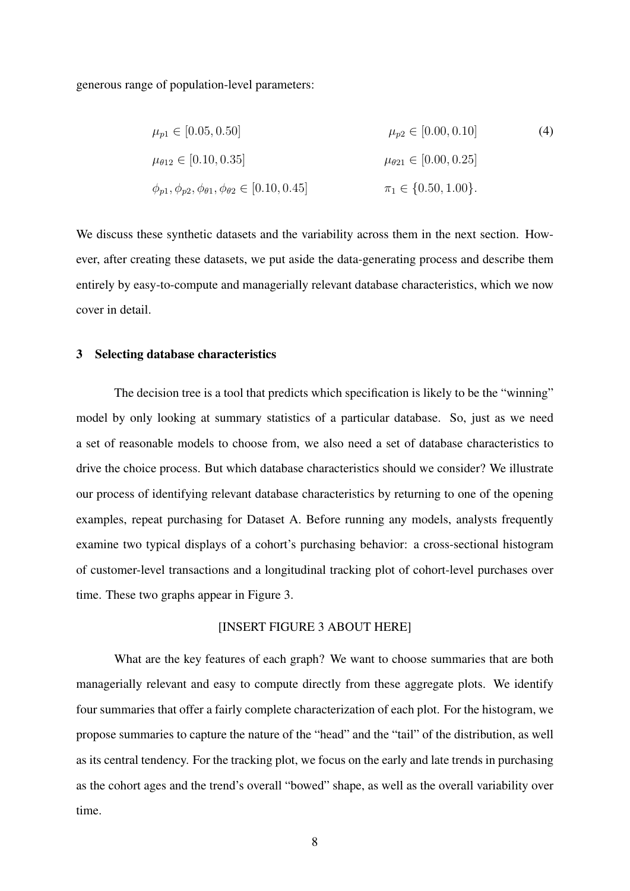generous range of population-level parameters:

$$
\mu_{p1} \in [0.05, 0.50]
$$
\n
$$
\mu_{p2} \in [0.00, 0.10]
$$
\n
$$
\mu_{\theta12} \in [0.10, 0.35]
$$
\n
$$
\phi_{p1}, \phi_{p2}, \phi_{\theta1}, \phi_{\theta2} \in [0.10, 0.45]
$$
\n
$$
\pi_1 \in \{0.50, 1.00\}.
$$
\n(4)

We discuss these synthetic datasets and the variability across them in the next section. However, after creating these datasets, we put aside the data-generating process and describe them entirely by easy-to-compute and managerially relevant database characteristics, which we now cover in detail.

# 3 Selecting database characteristics

The decision tree is a tool that predicts which specification is likely to be the "winning" model by only looking at summary statistics of a particular database. So, just as we need a set of reasonable models to choose from, we also need a set of database characteristics to drive the choice process. But which database characteristics should we consider? We illustrate our process of identifying relevant database characteristics by returning to one of the opening examples, repeat purchasing for Dataset A. Before running any models, analysts frequently examine two typical displays of a cohort's purchasing behavior: a cross-sectional histogram of customer-level transactions and a longitudinal tracking plot of cohort-level purchases over time. These two graphs appear in Figure 3.

# [INSERT FIGURE 3 ABOUT HERE]

What are the key features of each graph? We want to choose summaries that are both managerially relevant and easy to compute directly from these aggregate plots. We identify four summaries that offer a fairly complete characterization of each plot. For the histogram, we propose summaries to capture the nature of the "head" and the "tail" of the distribution, as well as its central tendency. For the tracking plot, we focus on the early and late trends in purchasing as the cohort ages and the trend's overall "bowed" shape, as well as the overall variability over time.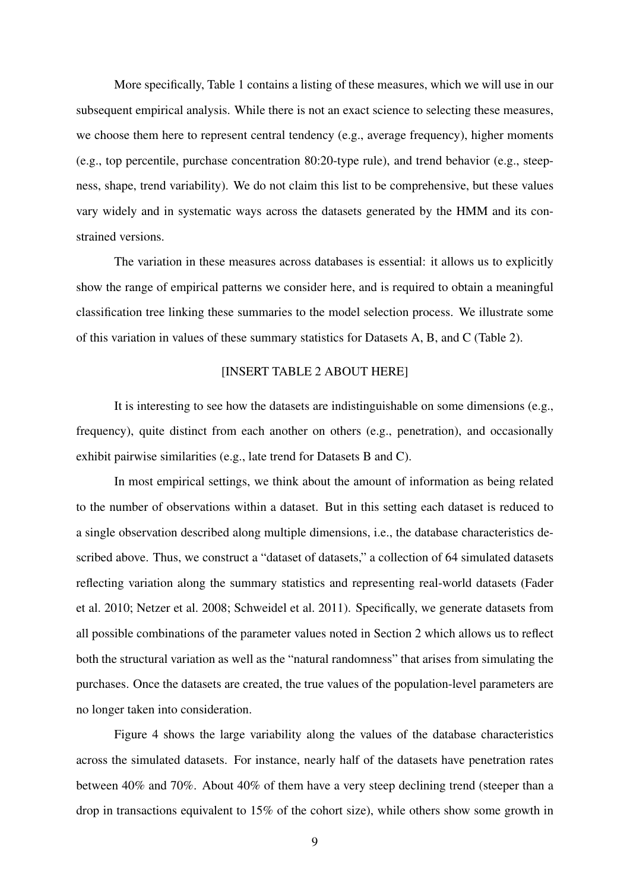More specifically, Table 1 contains a listing of these measures, which we will use in our subsequent empirical analysis. While there is not an exact science to selecting these measures, we choose them here to represent central tendency (e.g., average frequency), higher moments (e.g., top percentile, purchase concentration 80:20-type rule), and trend behavior (e.g., steepness, shape, trend variability). We do not claim this list to be comprehensive, but these values vary widely and in systematic ways across the datasets generated by the HMM and its constrained versions.

The variation in these measures across databases is essential: it allows us to explicitly show the range of empirical patterns we consider here, and is required to obtain a meaningful classification tree linking these summaries to the model selection process. We illustrate some of this variation in values of these summary statistics for Datasets A, B, and C (Table 2).

# [INSERT TABLE 2 ABOUT HERE]

It is interesting to see how the datasets are indistinguishable on some dimensions (e.g., frequency), quite distinct from each another on others (e.g., penetration), and occasionally exhibit pairwise similarities (e.g., late trend for Datasets B and C).

In most empirical settings, we think about the amount of information as being related to the number of observations within a dataset. But in this setting each dataset is reduced to a single observation described along multiple dimensions, i.e., the database characteristics described above. Thus, we construct a "dataset of datasets," a collection of 64 simulated datasets reflecting variation along the summary statistics and representing real-world datasets (Fader et al. 2010; Netzer et al. 2008; Schweidel et al. 2011). Specifically, we generate datasets from all possible combinations of the parameter values noted in Section 2 which allows us to reflect both the structural variation as well as the "natural randomness" that arises from simulating the purchases. Once the datasets are created, the true values of the population-level parameters are no longer taken into consideration.

Figure 4 shows the large variability along the values of the database characteristics across the simulated datasets. For instance, nearly half of the datasets have penetration rates between 40% and 70%. About 40% of them have a very steep declining trend (steeper than a drop in transactions equivalent to 15% of the cohort size), while others show some growth in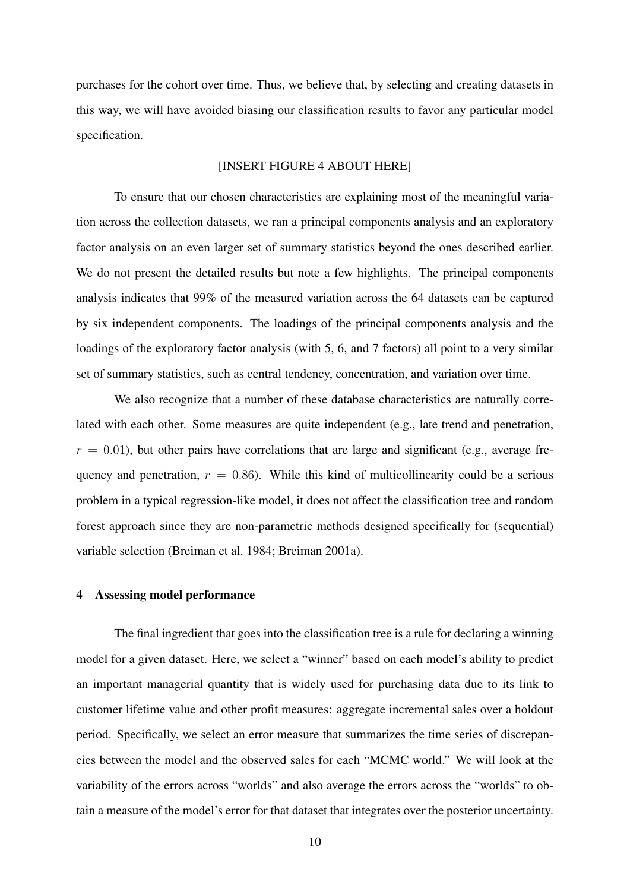purchases for the cohort over time. Thus, we believe that, by selecting and creating datasets in this way, we will have avoided biasing our classification results to favor any particular model specification.

#### [INSERT FIGURE 4 ABOUT HERE]

To ensure that our chosen characteristics are explaining most of the meaningful variation across the collection datasets, we ran a principal components analysis and an exploratory factor analysis on an even larger set of summary statistics beyond the ones described earlier. We do not present the detailed results but note a few highlights. The principal components analysis indicates that 99% of the measured variation across the 64 datasets can be captured by six independent components. The loadings of the principal components analysis and the loadings of the exploratory factor analysis (with 5, 6, and 7 factors) all point to a very similar set of summary statistics, such as central tendency, concentration, and variation over time.

We also recognize that a number of these database characteristics are naturally correlated with each other. Some measures are quite independent (e.g., late trend and penetration,  $r = 0.01$ ), but other pairs have correlations that are large and significant (e.g., average frequency and penetration,  $r = 0.86$ ). While this kind of multicollinearity could be a serious problem in a typical regression-like model, it does not affect the classification tree and random forest approach since they are non-parametric methods designed specifically for (sequential) variable selection (Breiman et al. 1984; Breiman 2001a).

### 4 Assessing model performance

The final ingredient that goes into the classification tree is a rule for declaring a winning model for a given dataset. Here, we select a "winner" based on each model's ability to predict an important managerial quantity that is widely used for purchasing data due to its link to customer lifetime value and other profit measures: aggregate incremental sales over a holdout period. Specifically, we select an error measure that summarizes the time series of discrepancies between the model and the observed sales for each "MCMC world." We will look at the variability of the errors across "worlds" and also average the errors across the "worlds" to obtain a measure of the model's error for that dataset that integrates over the posterior uncertainty.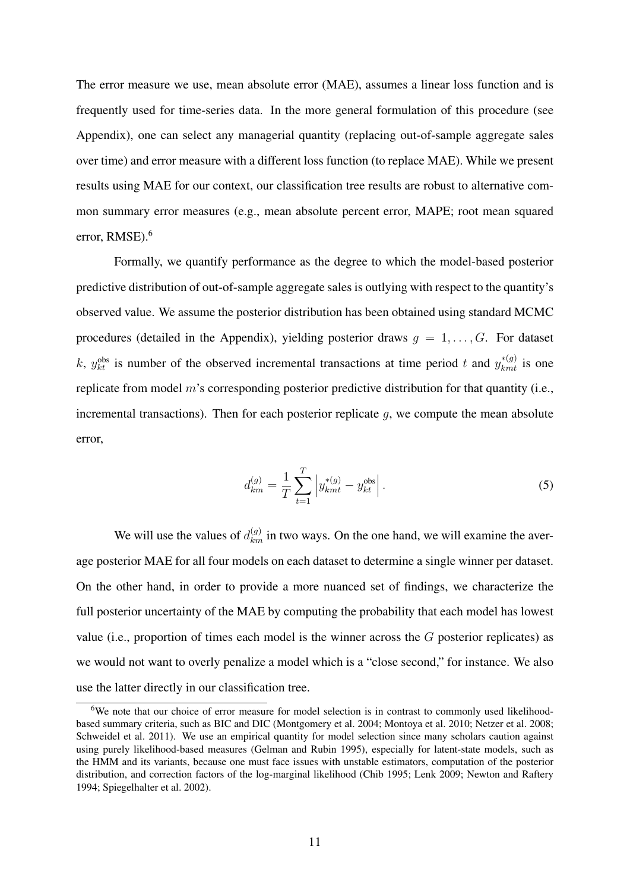The error measure we use, mean absolute error (MAE), assumes a linear loss function and is frequently used for time-series data. In the more general formulation of this procedure (see Appendix), one can select any managerial quantity (replacing out-of-sample aggregate sales over time) and error measure with a different loss function (to replace MAE). While we present results using MAE for our context, our classification tree results are robust to alternative common summary error measures (e.g., mean absolute percent error, MAPE; root mean squared error, RMSE).<sup>6</sup>

Formally, we quantify performance as the degree to which the model-based posterior predictive distribution of out-of-sample aggregate sales is outlying with respect to the quantity's observed value. We assume the posterior distribution has been obtained using standard MCMC procedures (detailed in the Appendix), yielding posterior draws  $q = 1, \ldots, G$ . For dataset k,  $y_{kt}^{\text{obs}}$  is number of the observed incremental transactions at time period t and  $y_{kmt}^{*(g)}$  is one replicate from model  $m$ 's corresponding posterior predictive distribution for that quantity (i.e., incremental transactions). Then for each posterior replicate  $q$ , we compute the mean absolute error,

$$
d_{km}^{(g)} = \frac{1}{T} \sum_{t=1}^{T} \left| y_{kmt}^{*(g)} - y_{kt}^{\text{obs}} \right|.
$$
 (5)

We will use the values of  $d_{km}^{(g)}$  in two ways. On the one hand, we will examine the average posterior MAE for all four models on each dataset to determine a single winner per dataset. On the other hand, in order to provide a more nuanced set of findings, we characterize the full posterior uncertainty of the MAE by computing the probability that each model has lowest value (i.e., proportion of times each model is the winner across the G posterior replicates) as we would not want to overly penalize a model which is a "close second," for instance. We also use the latter directly in our classification tree.

<sup>&</sup>lt;sup>6</sup>We note that our choice of error measure for model selection is in contrast to commonly used likelihoodbased summary criteria, such as BIC and DIC (Montgomery et al. 2004; Montoya et al. 2010; Netzer et al. 2008; Schweidel et al. 2011). We use an empirical quantity for model selection since many scholars caution against using purely likelihood-based measures (Gelman and Rubin 1995), especially for latent-state models, such as the HMM and its variants, because one must face issues with unstable estimators, computation of the posterior distribution, and correction factors of the log-marginal likelihood (Chib 1995; Lenk 2009; Newton and Raftery 1994; Spiegelhalter et al. 2002).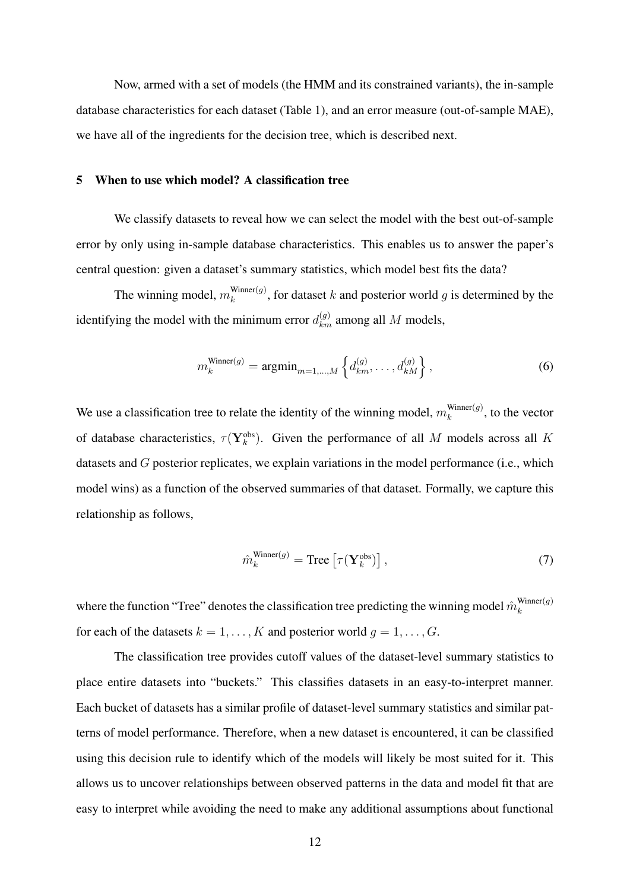Now, armed with a set of models (the HMM and its constrained variants), the in-sample database characteristics for each dataset (Table 1), and an error measure (out-of-sample MAE), we have all of the ingredients for the decision tree, which is described next.

# 5 When to use which model? A classification tree

We classify datasets to reveal how we can select the model with the best out-of-sample error by only using in-sample database characteristics. This enables us to answer the paper's central question: given a dataset's summary statistics, which model best fits the data?

The winning model,  $m_k^{\text{Winner}(g)}$  $\binom{W\text{inner}(g)}{k}$ , for dataset k and posterior world g is determined by the identifying the model with the minimum error  $d_{km}^{(g)}$  among all M models,

$$
m_k^{\text{Winner}(g)} = \operatorname{argmin}_{m=1,\dots,M} \left\{ d_{km}^{(g)}, \dots, d_{kM}^{(g)} \right\},\tag{6}
$$

We use a classification tree to relate the identity of the winning model,  $m_k^{\text{Winner}(g)}$  $\frac{\text{winner}(g)}{k}$ , to the vector of database characteristics,  $\tau(Y_k^{\text{obs}})$ . Given the performance of all M models across all K datasets and G posterior replicates, we explain variations in the model performance (i.e., which model wins) as a function of the observed summaries of that dataset. Formally, we capture this relationship as follows,

$$
\hat{m}_k^{\text{Winner}(g)} = \text{Tree}\left[\tau(\mathbf{Y}_k^{\text{obs}})\right],\tag{7}
$$

where the function "Tree" denotes the classification tree predicting the winning model  $\hat{m}_k^{\text{Winner}(g)}$ k for each of the datasets  $k = 1, ..., K$  and posterior world  $q = 1, ..., G$ .

The classification tree provides cutoff values of the dataset-level summary statistics to place entire datasets into "buckets." This classifies datasets in an easy-to-interpret manner. Each bucket of datasets has a similar profile of dataset-level summary statistics and similar patterns of model performance. Therefore, when a new dataset is encountered, it can be classified using this decision rule to identify which of the models will likely be most suited for it. This allows us to uncover relationships between observed patterns in the data and model fit that are easy to interpret while avoiding the need to make any additional assumptions about functional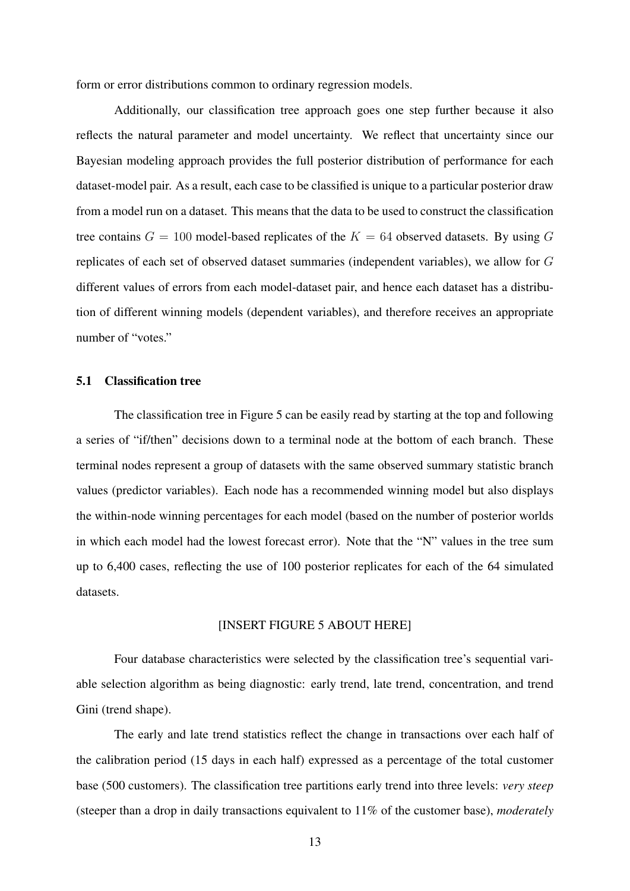form or error distributions common to ordinary regression models.

Additionally, our classification tree approach goes one step further because it also reflects the natural parameter and model uncertainty. We reflect that uncertainty since our Bayesian modeling approach provides the full posterior distribution of performance for each dataset-model pair. As a result, each case to be classified is unique to a particular posterior draw from a model run on a dataset. This means that the data to be used to construct the classification tree contains  $G = 100$  model-based replicates of the  $K = 64$  observed datasets. By using G replicates of each set of observed dataset summaries (independent variables), we allow for G different values of errors from each model-dataset pair, and hence each dataset has a distribution of different winning models (dependent variables), and therefore receives an appropriate number of "votes."

# 5.1 Classification tree

The classification tree in Figure 5 can be easily read by starting at the top and following a series of "if/then" decisions down to a terminal node at the bottom of each branch. These terminal nodes represent a group of datasets with the same observed summary statistic branch values (predictor variables). Each node has a recommended winning model but also displays the within-node winning percentages for each model (based on the number of posterior worlds in which each model had the lowest forecast error). Note that the "N" values in the tree sum up to 6,400 cases, reflecting the use of 100 posterior replicates for each of the 64 simulated datasets.

# [INSERT FIGURE 5 ABOUT HERE]

Four database characteristics were selected by the classification tree's sequential variable selection algorithm as being diagnostic: early trend, late trend, concentration, and trend Gini (trend shape).

The early and late trend statistics reflect the change in transactions over each half of the calibration period (15 days in each half) expressed as a percentage of the total customer base (500 customers). The classification tree partitions early trend into three levels: *very steep* (steeper than a drop in daily transactions equivalent to 11% of the customer base), *moderately*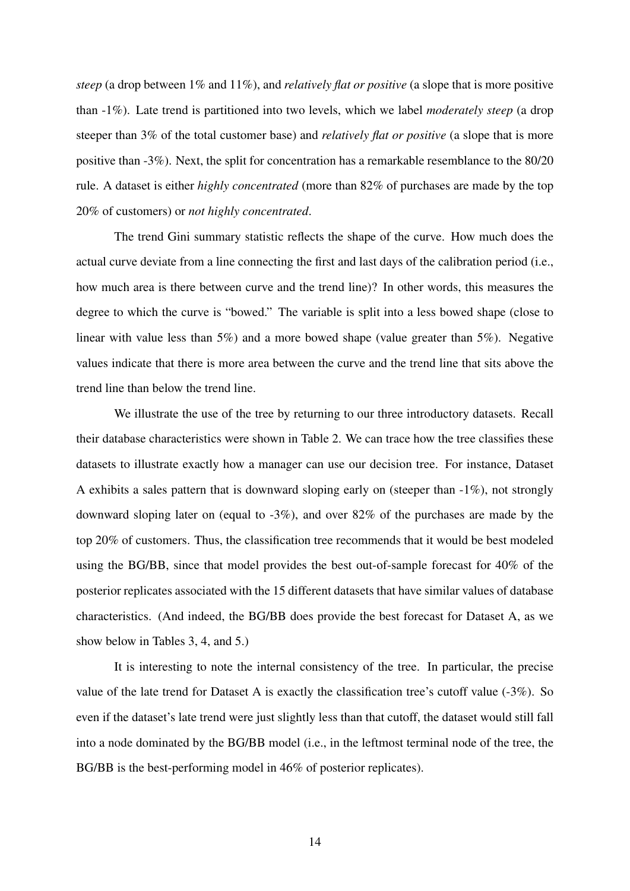*steep* (a drop between 1% and 11%), and *relatively flat or positive* (a slope that is more positive than -1%). Late trend is partitioned into two levels, which we label *moderately steep* (a drop steeper than 3% of the total customer base) and *relatively flat or positive* (a slope that is more positive than -3%). Next, the split for concentration has a remarkable resemblance to the 80/20 rule. A dataset is either *highly concentrated* (more than 82% of purchases are made by the top 20% of customers) or *not highly concentrated*.

The trend Gini summary statistic reflects the shape of the curve. How much does the actual curve deviate from a line connecting the first and last days of the calibration period (i.e., how much area is there between curve and the trend line)? In other words, this measures the degree to which the curve is "bowed." The variable is split into a less bowed shape (close to linear with value less than 5%) and a more bowed shape (value greater than 5%). Negative values indicate that there is more area between the curve and the trend line that sits above the trend line than below the trend line.

We illustrate the use of the tree by returning to our three introductory datasets. Recall their database characteristics were shown in Table 2. We can trace how the tree classifies these datasets to illustrate exactly how a manager can use our decision tree. For instance, Dataset A exhibits a sales pattern that is downward sloping early on (steeper than -1%), not strongly downward sloping later on (equal to -3%), and over 82% of the purchases are made by the top 20% of customers. Thus, the classification tree recommends that it would be best modeled using the BG/BB, since that model provides the best out-of-sample forecast for 40% of the posterior replicates associated with the 15 different datasets that have similar values of database characteristics. (And indeed, the BG/BB does provide the best forecast for Dataset A, as we show below in Tables 3, 4, and 5.)

It is interesting to note the internal consistency of the tree. In particular, the precise value of the late trend for Dataset A is exactly the classification tree's cutoff value (-3%). So even if the dataset's late trend were just slightly less than that cutoff, the dataset would still fall into a node dominated by the BG/BB model (i.e., in the leftmost terminal node of the tree, the BG/BB is the best-performing model in 46% of posterior replicates).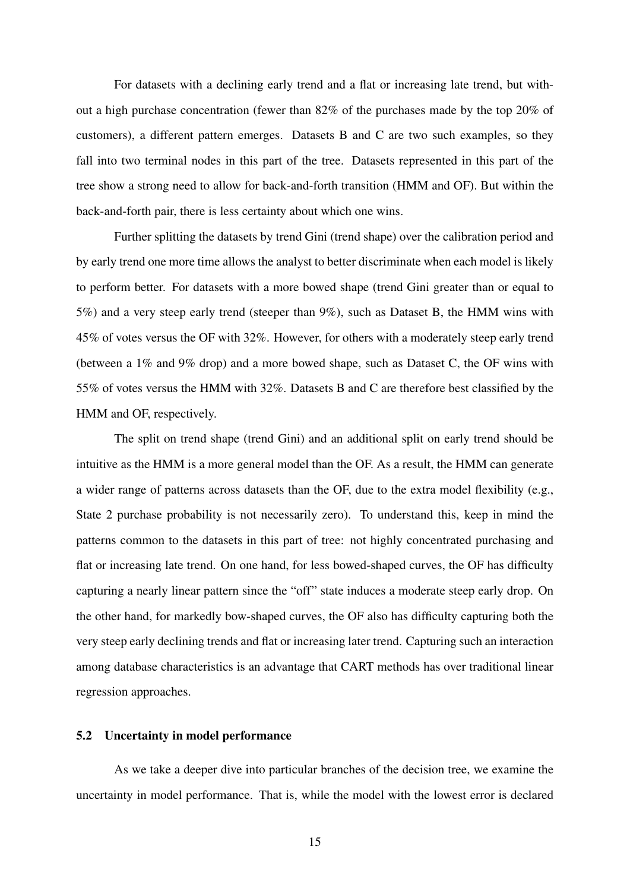For datasets with a declining early trend and a flat or increasing late trend, but without a high purchase concentration (fewer than 82% of the purchases made by the top 20% of customers), a different pattern emerges. Datasets B and C are two such examples, so they fall into two terminal nodes in this part of the tree. Datasets represented in this part of the tree show a strong need to allow for back-and-forth transition (HMM and OF). But within the back-and-forth pair, there is less certainty about which one wins.

Further splitting the datasets by trend Gini (trend shape) over the calibration period and by early trend one more time allows the analyst to better discriminate when each model is likely to perform better. For datasets with a more bowed shape (trend Gini greater than or equal to 5%) and a very steep early trend (steeper than 9%), such as Dataset B, the HMM wins with 45% of votes versus the OF with 32%. However, for others with a moderately steep early trend (between a 1% and 9% drop) and a more bowed shape, such as Dataset C, the OF wins with 55% of votes versus the HMM with 32%. Datasets B and C are therefore best classified by the HMM and OF, respectively.

The split on trend shape (trend Gini) and an additional split on early trend should be intuitive as the HMM is a more general model than the OF. As a result, the HMM can generate a wider range of patterns across datasets than the OF, due to the extra model flexibility (e.g., State 2 purchase probability is not necessarily zero). To understand this, keep in mind the patterns common to the datasets in this part of tree: not highly concentrated purchasing and flat or increasing late trend. On one hand, for less bowed-shaped curves, the OF has difficulty capturing a nearly linear pattern since the "off" state induces a moderate steep early drop. On the other hand, for markedly bow-shaped curves, the OF also has difficulty capturing both the very steep early declining trends and flat or increasing later trend. Capturing such an interaction among database characteristics is an advantage that CART methods has over traditional linear regression approaches.

# 5.2 Uncertainty in model performance

As we take a deeper dive into particular branches of the decision tree, we examine the uncertainty in model performance. That is, while the model with the lowest error is declared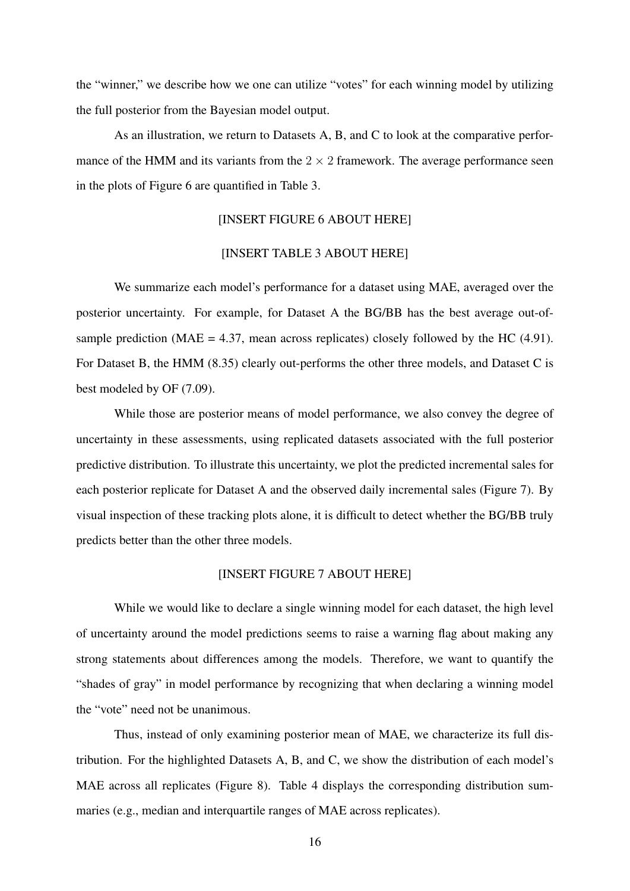the "winner," we describe how we one can utilize "votes" for each winning model by utilizing the full posterior from the Bayesian model output.

As an illustration, we return to Datasets A, B, and C to look at the comparative performance of the HMM and its variants from the  $2 \times 2$  framework. The average performance seen in the plots of Figure 6 are quantified in Table 3.

# [INSERT FIGURE 6 ABOUT HERE]

# [INSERT TABLE 3 ABOUT HERE]

We summarize each model's performance for a dataset using MAE, averaged over the posterior uncertainty. For example, for Dataset A the BG/BB has the best average out-ofsample prediction (MAE =  $4.37$ , mean across replicates) closely followed by the HC (4.91). For Dataset B, the HMM (8.35) clearly out-performs the other three models, and Dataset C is best modeled by OF (7.09).

While those are posterior means of model performance, we also convey the degree of uncertainty in these assessments, using replicated datasets associated with the full posterior predictive distribution. To illustrate this uncertainty, we plot the predicted incremental sales for each posterior replicate for Dataset A and the observed daily incremental sales (Figure 7). By visual inspection of these tracking plots alone, it is difficult to detect whether the BG/BB truly predicts better than the other three models.

# [INSERT FIGURE 7 ABOUT HERE]

While we would like to declare a single winning model for each dataset, the high level of uncertainty around the model predictions seems to raise a warning flag about making any strong statements about differences among the models. Therefore, we want to quantify the "shades of gray" in model performance by recognizing that when declaring a winning model the "vote" need not be unanimous.

Thus, instead of only examining posterior mean of MAE, we characterize its full distribution. For the highlighted Datasets A, B, and C, we show the distribution of each model's MAE across all replicates (Figure 8). Table 4 displays the corresponding distribution summaries (e.g., median and interquartile ranges of MAE across replicates).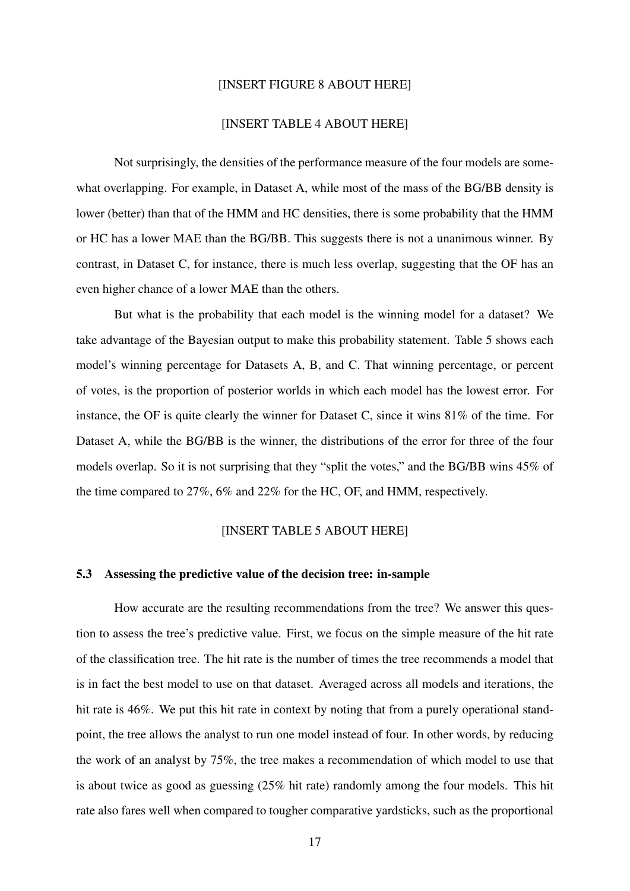#### [INSERT FIGURE 8 ABOUT HERE]

# [INSERT TABLE 4 ABOUT HERE]

Not surprisingly, the densities of the performance measure of the four models are somewhat overlapping. For example, in Dataset A, while most of the mass of the BG/BB density is lower (better) than that of the HMM and HC densities, there is some probability that the HMM or HC has a lower MAE than the BG/BB. This suggests there is not a unanimous winner. By contrast, in Dataset C, for instance, there is much less overlap, suggesting that the OF has an even higher chance of a lower MAE than the others.

But what is the probability that each model is the winning model for a dataset? We take advantage of the Bayesian output to make this probability statement. Table 5 shows each model's winning percentage for Datasets A, B, and C. That winning percentage, or percent of votes, is the proportion of posterior worlds in which each model has the lowest error. For instance, the OF is quite clearly the winner for Dataset C, since it wins 81% of the time. For Dataset A, while the BG/BB is the winner, the distributions of the error for three of the four models overlap. So it is not surprising that they "split the votes," and the BG/BB wins 45% of the time compared to 27%, 6% and 22% for the HC, OF, and HMM, respectively.

### [INSERT TABLE 5 ABOUT HERE]

## 5.3 Assessing the predictive value of the decision tree: in-sample

How accurate are the resulting recommendations from the tree? We answer this question to assess the tree's predictive value. First, we focus on the simple measure of the hit rate of the classification tree. The hit rate is the number of times the tree recommends a model that is in fact the best model to use on that dataset. Averaged across all models and iterations, the hit rate is 46%. We put this hit rate in context by noting that from a purely operational standpoint, the tree allows the analyst to run one model instead of four. In other words, by reducing the work of an analyst by 75%, the tree makes a recommendation of which model to use that is about twice as good as guessing (25% hit rate) randomly among the four models. This hit rate also fares well when compared to tougher comparative yardsticks, such as the proportional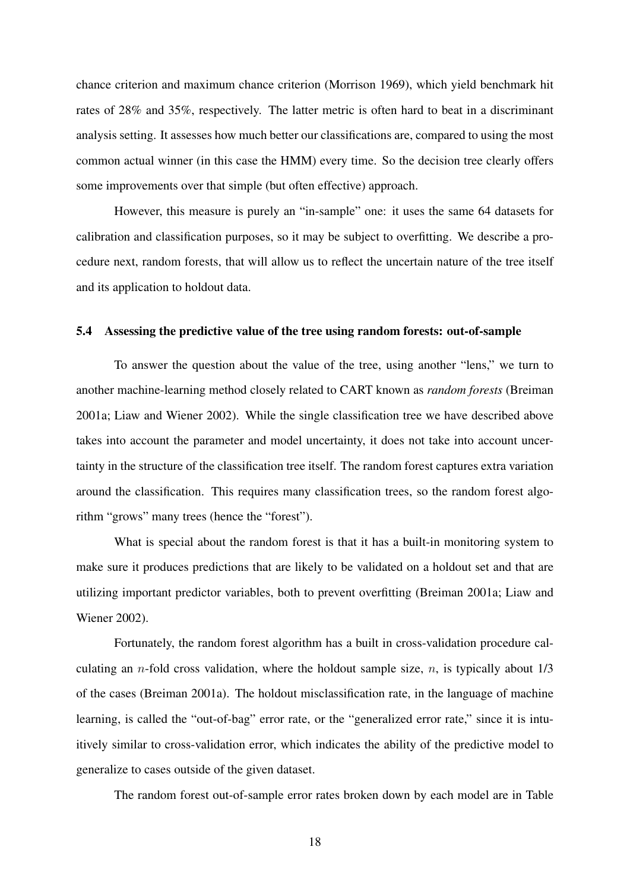chance criterion and maximum chance criterion (Morrison 1969), which yield benchmark hit rates of 28% and 35%, respectively. The latter metric is often hard to beat in a discriminant analysis setting. It assesses how much better our classifications are, compared to using the most common actual winner (in this case the HMM) every time. So the decision tree clearly offers some improvements over that simple (but often effective) approach.

However, this measure is purely an "in-sample" one: it uses the same 64 datasets for calibration and classification purposes, so it may be subject to overfitting. We describe a procedure next, random forests, that will allow us to reflect the uncertain nature of the tree itself and its application to holdout data.

# 5.4 Assessing the predictive value of the tree using random forests: out-of-sample

To answer the question about the value of the tree, using another "lens," we turn to another machine-learning method closely related to CART known as *random forests* (Breiman 2001a; Liaw and Wiener 2002). While the single classification tree we have described above takes into account the parameter and model uncertainty, it does not take into account uncertainty in the structure of the classification tree itself. The random forest captures extra variation around the classification. This requires many classification trees, so the random forest algorithm "grows" many trees (hence the "forest").

What is special about the random forest is that it has a built-in monitoring system to make sure it produces predictions that are likely to be validated on a holdout set and that are utilizing important predictor variables, both to prevent overfitting (Breiman 2001a; Liaw and Wiener 2002).

Fortunately, the random forest algorithm has a built in cross-validation procedure calculating an *n*-fold cross validation, where the holdout sample size, *n*, is typically about  $1/3$ of the cases (Breiman 2001a). The holdout misclassification rate, in the language of machine learning, is called the "out-of-bag" error rate, or the "generalized error rate," since it is intuitively similar to cross-validation error, which indicates the ability of the predictive model to generalize to cases outside of the given dataset.

The random forest out-of-sample error rates broken down by each model are in Table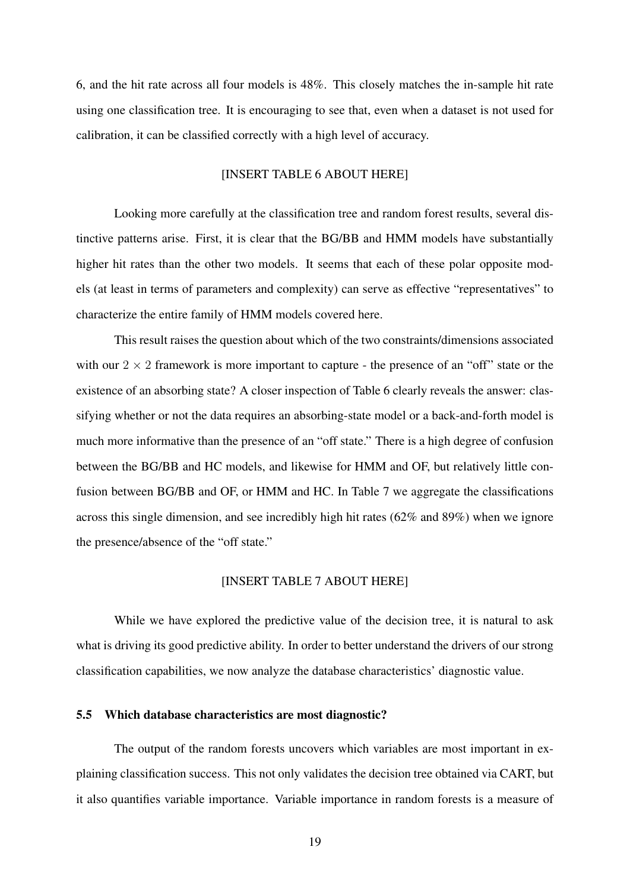6, and the hit rate across all four models is 48%. This closely matches the in-sample hit rate using one classification tree. It is encouraging to see that, even when a dataset is not used for calibration, it can be classified correctly with a high level of accuracy.

# [INSERT TABLE 6 ABOUT HERE]

Looking more carefully at the classification tree and random forest results, several distinctive patterns arise. First, it is clear that the BG/BB and HMM models have substantially higher hit rates than the other two models. It seems that each of these polar opposite models (at least in terms of parameters and complexity) can serve as effective "representatives" to characterize the entire family of HMM models covered here.

This result raises the question about which of the two constraints/dimensions associated with our  $2 \times 2$  framework is more important to capture - the presence of an "off" state or the existence of an absorbing state? A closer inspection of Table 6 clearly reveals the answer: classifying whether or not the data requires an absorbing-state model or a back-and-forth model is much more informative than the presence of an "off state." There is a high degree of confusion between the BG/BB and HC models, and likewise for HMM and OF, but relatively little confusion between BG/BB and OF, or HMM and HC. In Table 7 we aggregate the classifications across this single dimension, and see incredibly high hit rates (62% and 89%) when we ignore the presence/absence of the "off state."

### [INSERT TABLE 7 ABOUT HERE]

While we have explored the predictive value of the decision tree, it is natural to ask what is driving its good predictive ability. In order to better understand the drivers of our strong classification capabilities, we now analyze the database characteristics' diagnostic value.

# 5.5 Which database characteristics are most diagnostic?

The output of the random forests uncovers which variables are most important in explaining classification success. This not only validates the decision tree obtained via CART, but it also quantifies variable importance. Variable importance in random forests is a measure of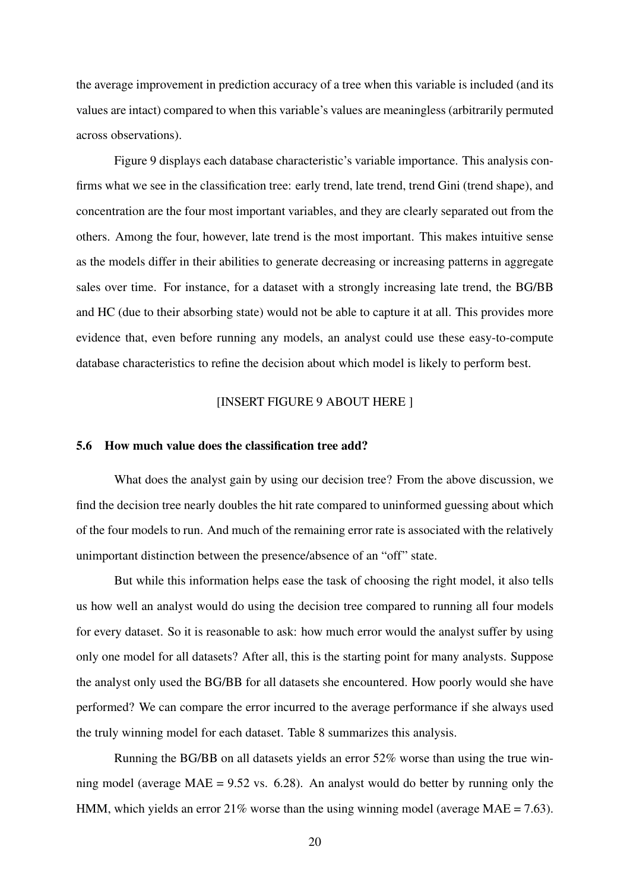the average improvement in prediction accuracy of a tree when this variable is included (and its values are intact) compared to when this variable's values are meaningless (arbitrarily permuted across observations).

Figure 9 displays each database characteristic's variable importance. This analysis confirms what we see in the classification tree: early trend, late trend, trend Gini (trend shape), and concentration are the four most important variables, and they are clearly separated out from the others. Among the four, however, late trend is the most important. This makes intuitive sense as the models differ in their abilities to generate decreasing or increasing patterns in aggregate sales over time. For instance, for a dataset with a strongly increasing late trend, the BG/BB and HC (due to their absorbing state) would not be able to capture it at all. This provides more evidence that, even before running any models, an analyst could use these easy-to-compute database characteristics to refine the decision about which model is likely to perform best.

# [INSERT FIGURE 9 ABOUT HERE ]

### 5.6 How much value does the classification tree add?

What does the analyst gain by using our decision tree? From the above discussion, we find the decision tree nearly doubles the hit rate compared to uninformed guessing about which of the four models to run. And much of the remaining error rate is associated with the relatively unimportant distinction between the presence/absence of an "off" state.

But while this information helps ease the task of choosing the right model, it also tells us how well an analyst would do using the decision tree compared to running all four models for every dataset. So it is reasonable to ask: how much error would the analyst suffer by using only one model for all datasets? After all, this is the starting point for many analysts. Suppose the analyst only used the BG/BB for all datasets she encountered. How poorly would she have performed? We can compare the error incurred to the average performance if she always used the truly winning model for each dataset. Table 8 summarizes this analysis.

Running the BG/BB on all datasets yields an error 52% worse than using the true winning model (average MAE =  $9.52$  vs. 6.28). An analyst would do better by running only the HMM, which yields an error  $21\%$  worse than the using winning model (average MAE = 7.63).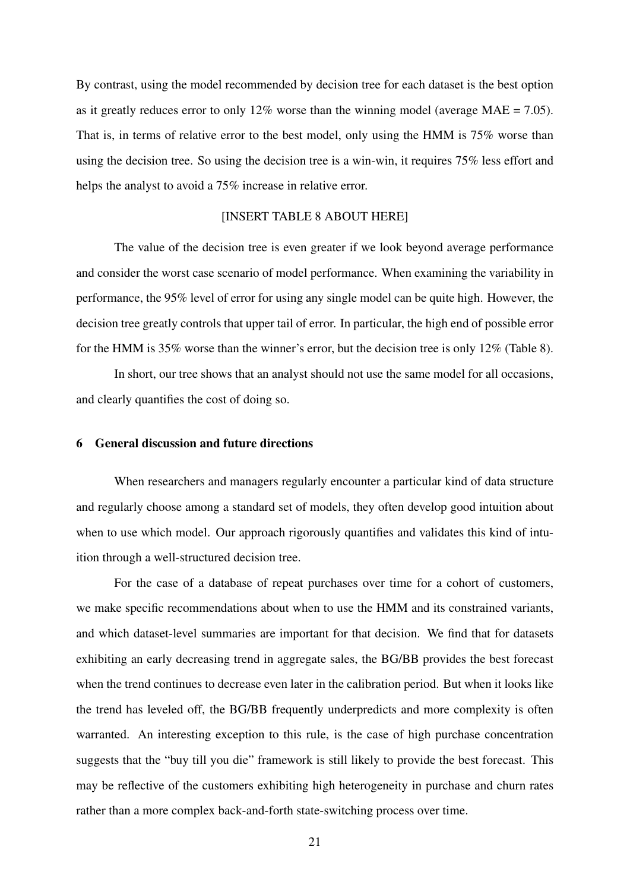By contrast, using the model recommended by decision tree for each dataset is the best option as it greatly reduces error to only 12% worse than the winning model (average MAE = 7.05). That is, in terms of relative error to the best model, only using the HMM is 75% worse than using the decision tree. So using the decision tree is a win-win, it requires 75% less effort and helps the analyst to avoid a 75% increase in relative error.

### [INSERT TABLE 8 ABOUT HERE]

The value of the decision tree is even greater if we look beyond average performance and consider the worst case scenario of model performance. When examining the variability in performance, the 95% level of error for using any single model can be quite high. However, the decision tree greatly controls that upper tail of error. In particular, the high end of possible error for the HMM is 35% worse than the winner's error, but the decision tree is only 12% (Table 8).

In short, our tree shows that an analyst should not use the same model for all occasions, and clearly quantifies the cost of doing so.

### 6 General discussion and future directions

When researchers and managers regularly encounter a particular kind of data structure and regularly choose among a standard set of models, they often develop good intuition about when to use which model. Our approach rigorously quantifies and validates this kind of intuition through a well-structured decision tree.

For the case of a database of repeat purchases over time for a cohort of customers, we make specific recommendations about when to use the HMM and its constrained variants, and which dataset-level summaries are important for that decision. We find that for datasets exhibiting an early decreasing trend in aggregate sales, the BG/BB provides the best forecast when the trend continues to decrease even later in the calibration period. But when it looks like the trend has leveled off, the BG/BB frequently underpredicts and more complexity is often warranted. An interesting exception to this rule, is the case of high purchase concentration suggests that the "buy till you die" framework is still likely to provide the best forecast. This may be reflective of the customers exhibiting high heterogeneity in purchase and churn rates rather than a more complex back-and-forth state-switching process over time.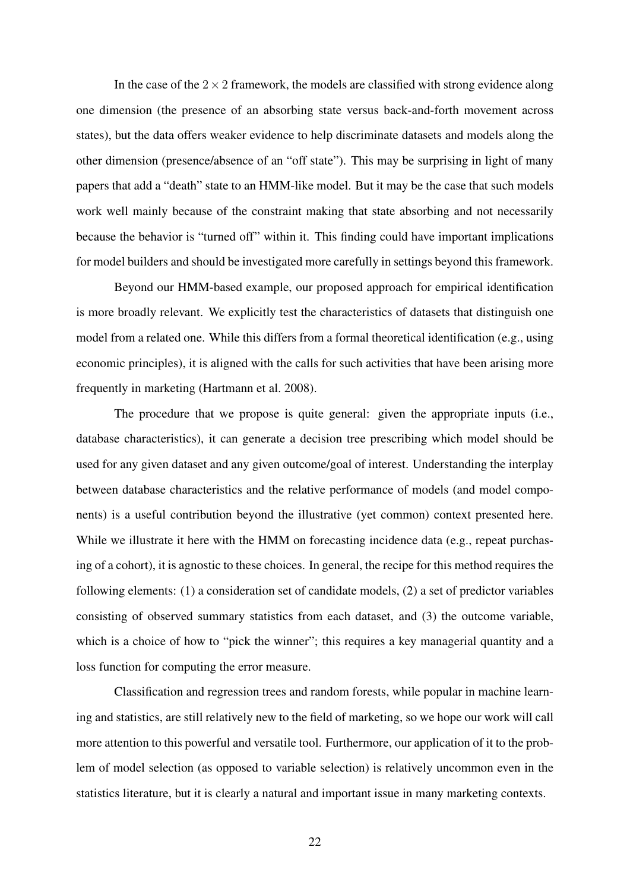In the case of the  $2 \times 2$  framework, the models are classified with strong evidence along one dimension (the presence of an absorbing state versus back-and-forth movement across states), but the data offers weaker evidence to help discriminate datasets and models along the other dimension (presence/absence of an "off state"). This may be surprising in light of many papers that add a "death" state to an HMM-like model. But it may be the case that such models work well mainly because of the constraint making that state absorbing and not necessarily because the behavior is "turned off" within it. This finding could have important implications for model builders and should be investigated more carefully in settings beyond this framework.

Beyond our HMM-based example, our proposed approach for empirical identification is more broadly relevant. We explicitly test the characteristics of datasets that distinguish one model from a related one. While this differs from a formal theoretical identification (e.g., using economic principles), it is aligned with the calls for such activities that have been arising more frequently in marketing (Hartmann et al. 2008).

The procedure that we propose is quite general: given the appropriate inputs (i.e., database characteristics), it can generate a decision tree prescribing which model should be used for any given dataset and any given outcome/goal of interest. Understanding the interplay between database characteristics and the relative performance of models (and model components) is a useful contribution beyond the illustrative (yet common) context presented here. While we illustrate it here with the HMM on forecasting incidence data (e.g., repeat purchasing of a cohort), it is agnostic to these choices. In general, the recipe for this method requires the following elements: (1) a consideration set of candidate models, (2) a set of predictor variables consisting of observed summary statistics from each dataset, and (3) the outcome variable, which is a choice of how to "pick the winner"; this requires a key managerial quantity and a loss function for computing the error measure.

Classification and regression trees and random forests, while popular in machine learning and statistics, are still relatively new to the field of marketing, so we hope our work will call more attention to this powerful and versatile tool. Furthermore, our application of it to the problem of model selection (as opposed to variable selection) is relatively uncommon even in the statistics literature, but it is clearly a natural and important issue in many marketing contexts.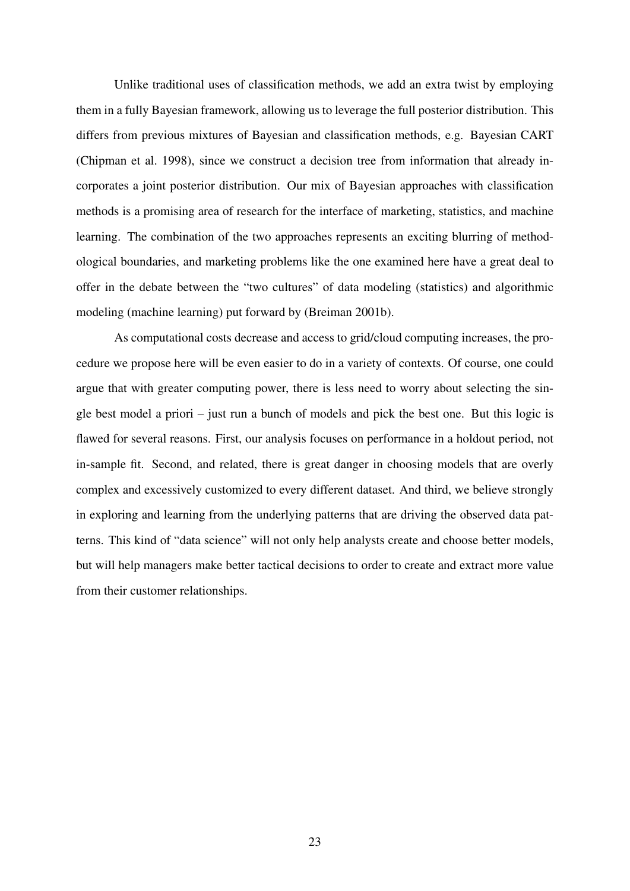Unlike traditional uses of classification methods, we add an extra twist by employing them in a fully Bayesian framework, allowing us to leverage the full posterior distribution. This differs from previous mixtures of Bayesian and classification methods, e.g. Bayesian CART (Chipman et al. 1998), since we construct a decision tree from information that already incorporates a joint posterior distribution. Our mix of Bayesian approaches with classification methods is a promising area of research for the interface of marketing, statistics, and machine learning. The combination of the two approaches represents an exciting blurring of methodological boundaries, and marketing problems like the one examined here have a great deal to offer in the debate between the "two cultures" of data modeling (statistics) and algorithmic modeling (machine learning) put forward by (Breiman 2001b).

As computational costs decrease and access to grid/cloud computing increases, the procedure we propose here will be even easier to do in a variety of contexts. Of course, one could argue that with greater computing power, there is less need to worry about selecting the single best model a priori – just run a bunch of models and pick the best one. But this logic is flawed for several reasons. First, our analysis focuses on performance in a holdout period, not in-sample fit. Second, and related, there is great danger in choosing models that are overly complex and excessively customized to every different dataset. And third, we believe strongly in exploring and learning from the underlying patterns that are driving the observed data patterns. This kind of "data science" will not only help analysts create and choose better models, but will help managers make better tactical decisions to order to create and extract more value from their customer relationships.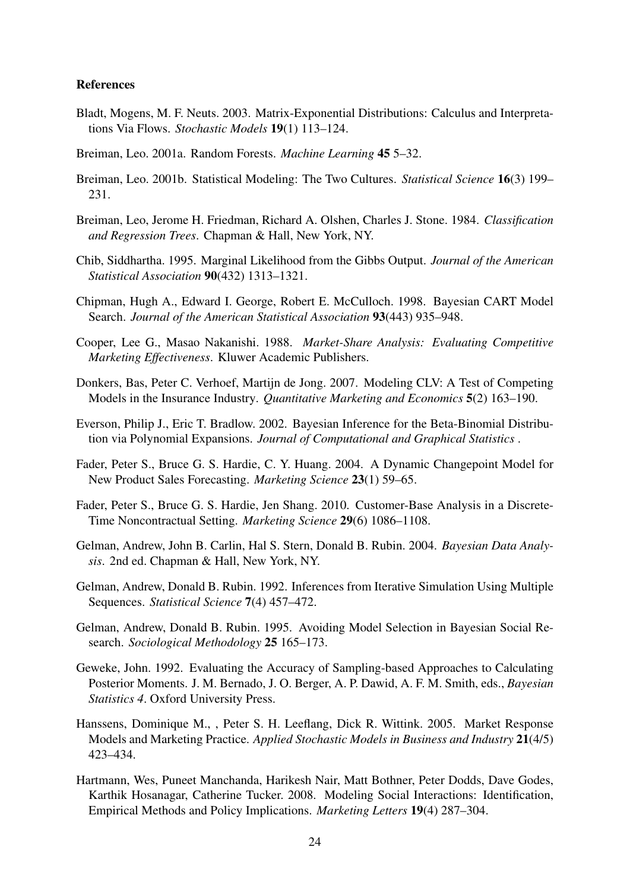# References

- Bladt, Mogens, M. F. Neuts. 2003. Matrix-Exponential Distributions: Calculus and Interpretations Via Flows. *Stochastic Models* 19(1) 113–124.
- Breiman, Leo. 2001a. Random Forests. *Machine Learning* 45 5–32.
- Breiman, Leo. 2001b. Statistical Modeling: The Two Cultures. *Statistical Science* 16(3) 199– 231.
- Breiman, Leo, Jerome H. Friedman, Richard A. Olshen, Charles J. Stone. 1984. *Classification and Regression Trees*. Chapman & Hall, New York, NY.
- Chib, Siddhartha. 1995. Marginal Likelihood from the Gibbs Output. *Journal of the American Statistical Association* 90(432) 1313–1321.
- Chipman, Hugh A., Edward I. George, Robert E. McCulloch. 1998. Bayesian CART Model Search. *Journal of the American Statistical Association* 93(443) 935–948.
- Cooper, Lee G., Masao Nakanishi. 1988. *Market-Share Analysis: Evaluating Competitive Marketing Effectiveness*. Kluwer Academic Publishers.
- Donkers, Bas, Peter C. Verhoef, Martijn de Jong. 2007. Modeling CLV: A Test of Competing Models in the Insurance Industry. *Quantitative Marketing and Economics* 5(2) 163–190.
- Everson, Philip J., Eric T. Bradlow. 2002. Bayesian Inference for the Beta-Binomial Distribution via Polynomial Expansions. *Journal of Computational and Graphical Statistics* .
- Fader, Peter S., Bruce G. S. Hardie, C. Y. Huang. 2004. A Dynamic Changepoint Model for New Product Sales Forecasting. *Marketing Science* 23(1) 59–65.
- Fader, Peter S., Bruce G. S. Hardie, Jen Shang. 2010. Customer-Base Analysis in a Discrete-Time Noncontractual Setting. *Marketing Science* 29(6) 1086–1108.
- Gelman, Andrew, John B. Carlin, Hal S. Stern, Donald B. Rubin. 2004. *Bayesian Data Analysis*. 2nd ed. Chapman & Hall, New York, NY.
- Gelman, Andrew, Donald B. Rubin. 1992. Inferences from Iterative Simulation Using Multiple Sequences. *Statistical Science* 7(4) 457–472.
- Gelman, Andrew, Donald B. Rubin. 1995. Avoiding Model Selection in Bayesian Social Research. *Sociological Methodology* 25 165–173.
- Geweke, John. 1992. Evaluating the Accuracy of Sampling-based Approaches to Calculating Posterior Moments. J. M. Bernado, J. O. Berger, A. P. Dawid, A. F. M. Smith, eds., *Bayesian Statistics 4*. Oxford University Press.
- Hanssens, Dominique M., , Peter S. H. Leeflang, Dick R. Wittink. 2005. Market Response Models and Marketing Practice. *Applied Stochastic Models in Business and Industry* 21(4/5) 423–434.
- Hartmann, Wes, Puneet Manchanda, Harikesh Nair, Matt Bothner, Peter Dodds, Dave Godes, Karthik Hosanagar, Catherine Tucker. 2008. Modeling Social Interactions: Identification, Empirical Methods and Policy Implications. *Marketing Letters* 19(4) 287–304.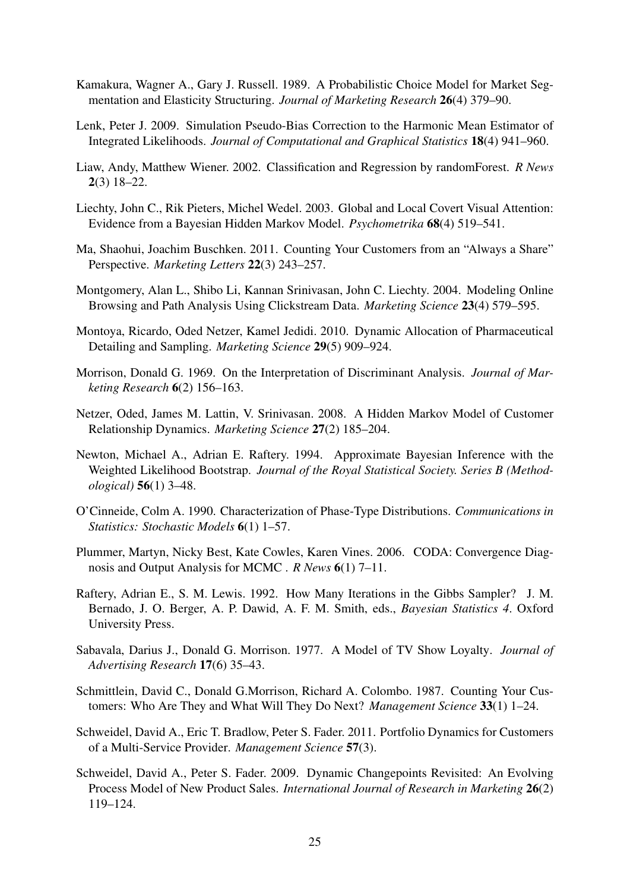- Kamakura, Wagner A., Gary J. Russell. 1989. A Probabilistic Choice Model for Market Segmentation and Elasticity Structuring. *Journal of Marketing Research* 26(4) 379–90.
- Lenk, Peter J. 2009. Simulation Pseudo-Bias Correction to the Harmonic Mean Estimator of Integrated Likelihoods. *Journal of Computational and Graphical Statistics* 18(4) 941–960.
- Liaw, Andy, Matthew Wiener. 2002. Classification and Regression by randomForest. *R News* 2(3) 18–22.
- Liechty, John C., Rik Pieters, Michel Wedel. 2003. Global and Local Covert Visual Attention: Evidence from a Bayesian Hidden Markov Model. *Psychometrika* 68(4) 519–541.
- Ma, Shaohui, Joachim Buschken. 2011. Counting Your Customers from an "Always a Share" Perspective. *Marketing Letters* 22(3) 243–257.
- Montgomery, Alan L., Shibo Li, Kannan Srinivasan, John C. Liechty. 2004. Modeling Online Browsing and Path Analysis Using Clickstream Data. *Marketing Science* 23(4) 579–595.
- Montoya, Ricardo, Oded Netzer, Kamel Jedidi. 2010. Dynamic Allocation of Pharmaceutical Detailing and Sampling. *Marketing Science* 29(5) 909–924.
- Morrison, Donald G. 1969. On the Interpretation of Discriminant Analysis. *Journal of Marketing Research* 6(2) 156–163.
- Netzer, Oded, James M. Lattin, V. Srinivasan. 2008. A Hidden Markov Model of Customer Relationship Dynamics. *Marketing Science* 27(2) 185–204.
- Newton, Michael A., Adrian E. Raftery. 1994. Approximate Bayesian Inference with the Weighted Likelihood Bootstrap. *Journal of the Royal Statistical Society. Series B (Methodological)* 56(1) 3–48.
- O'Cinneide, Colm A. 1990. Characterization of Phase-Type Distributions. *Communications in Statistics: Stochastic Models* 6(1) 1–57.
- Plummer, Martyn, Nicky Best, Kate Cowles, Karen Vines. 2006. CODA: Convergence Diagnosis and Output Analysis for MCMC . *R News* 6(1) 7–11.
- Raftery, Adrian E., S. M. Lewis. 1992. How Many Iterations in the Gibbs Sampler? J. M. Bernado, J. O. Berger, A. P. Dawid, A. F. M. Smith, eds., *Bayesian Statistics 4*. Oxford University Press.
- Sabavala, Darius J., Donald G. Morrison. 1977. A Model of TV Show Loyalty. *Journal of Advertising Research* 17(6) 35–43.
- Schmittlein, David C., Donald G.Morrison, Richard A. Colombo. 1987. Counting Your Customers: Who Are They and What Will They Do Next? *Management Science* 33(1) 1–24.
- Schweidel, David A., Eric T. Bradlow, Peter S. Fader. 2011. Portfolio Dynamics for Customers of a Multi-Service Provider. *Management Science* 57(3).
- Schweidel, David A., Peter S. Fader. 2009. Dynamic Changepoints Revisited: An Evolving Process Model of New Product Sales. *International Journal of Research in Marketing* 26(2) 119–124.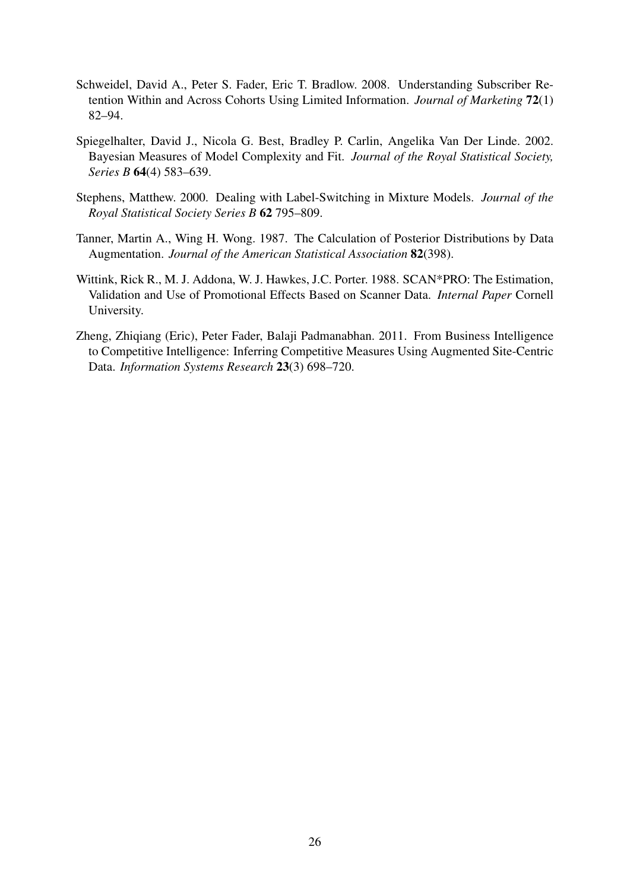- Schweidel, David A., Peter S. Fader, Eric T. Bradlow. 2008. Understanding Subscriber Retention Within and Across Cohorts Using Limited Information. *Journal of Marketing* 72(1) 82–94.
- Spiegelhalter, David J., Nicola G. Best, Bradley P. Carlin, Angelika Van Der Linde. 2002. Bayesian Measures of Model Complexity and Fit. *Journal of the Royal Statistical Society, Series B* 64(4) 583–639.
- Stephens, Matthew. 2000. Dealing with Label-Switching in Mixture Models. *Journal of the Royal Statistical Society Series B* 62 795–809.
- Tanner, Martin A., Wing H. Wong. 1987. The Calculation of Posterior Distributions by Data Augmentation. *Journal of the American Statistical Association* 82(398).
- Wittink, Rick R., M. J. Addona, W. J. Hawkes, J.C. Porter. 1988. SCAN\*PRO: The Estimation, Validation and Use of Promotional Effects Based on Scanner Data. *Internal Paper* Cornell University.
- Zheng, Zhiqiang (Eric), Peter Fader, Balaji Padmanabhan. 2011. From Business Intelligence to Competitive Intelligence: Inferring Competitive Measures Using Augmented Site-Centric Data. *Information Systems Research* 23(3) 698–720.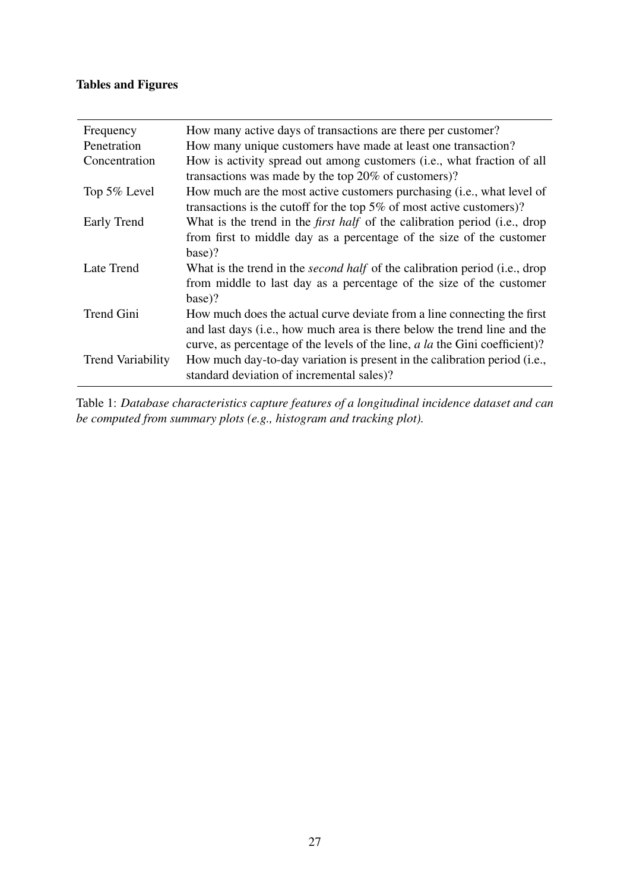# Tables and Figures

| Frequency<br>Penetration | How many active days of transactions are there per customer?<br>How many unique customers have made at least one transaction?                                                                                                             |
|--------------------------|-------------------------------------------------------------------------------------------------------------------------------------------------------------------------------------------------------------------------------------------|
| Concentration            | How is activity spread out among customers ( <i>i.e.</i> , what fraction of all<br>transactions was made by the top 20% of customers)?                                                                                                    |
| Top 5% Level             | How much are the most active customers purchasing (i.e., what level of<br>transactions is the cutoff for the top 5% of most active customers)?                                                                                            |
| Early Trend              | What is the trend in the <i>first half</i> of the calibration period (i.e., drop<br>from first to middle day as a percentage of the size of the customer<br>base)?                                                                        |
| Late Trend               | What is the trend in the <i>second half</i> of the calibration period (i.e., drop<br>from middle to last day as a percentage of the size of the customer<br>base)?                                                                        |
| <b>Trend Gini</b>        | How much does the actual curve deviate from a line connecting the first<br>and last days (i.e., how much area is there below the trend line and the<br>curve, as percentage of the levels of the line, <i>a la</i> the Gini coefficient)? |
| <b>Trend Variability</b> | How much day-to-day variation is present in the calibration period (i.e.,<br>standard deviation of incremental sales)?                                                                                                                    |

Table 1: *Database characteristics capture features of a longitudinal incidence dataset and can be computed from summary plots (e.g., histogram and tracking plot).*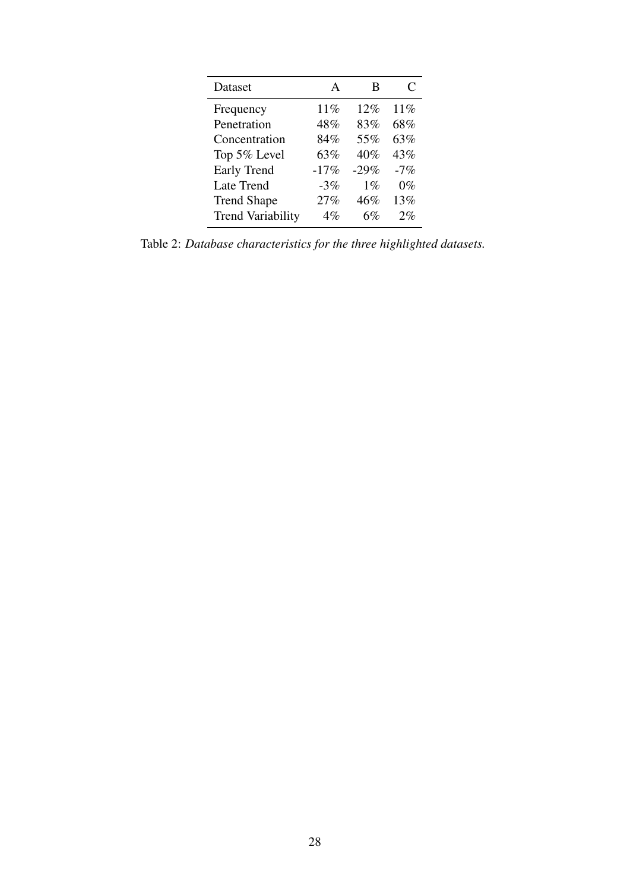| Dataset                  | A      | B      | €     |
|--------------------------|--------|--------|-------|
| Frequency                | 11%    | $12\%$ | 11%   |
| Penetration              | 48%    | 83%    | 68%   |
| Concentration            | 84%    | 55%    | 63%   |
| Top 5% Level             | 63%    | 40%    | 43%   |
| <b>Early Trend</b>       | $-17%$ | $-29%$ | $-7%$ |
| <b>Late Trend</b>        | $-3%$  | $1\%$  | $0\%$ |
| <b>Trend Shape</b>       | 27%    | 46%    | 13%   |
| <b>Trend Variability</b> | $4\%$  | 6%     | 2%    |

Table 2: *Database characteristics for the three highlighted datasets.*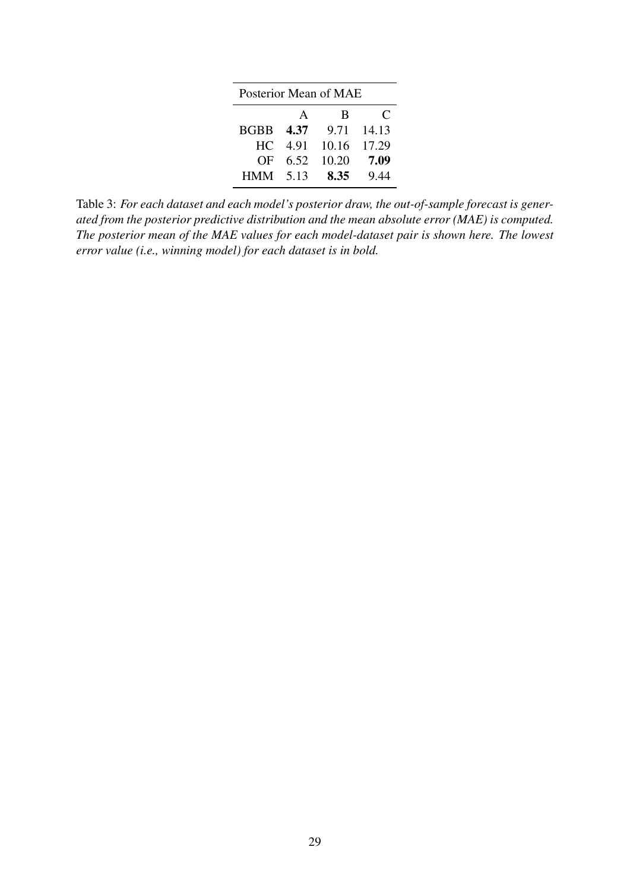| Posterior Mean of MAE |      |       |       |  |
|-----------------------|------|-------|-------|--|
|                       | A    | B     | C     |  |
| <b>BGBB</b>           | 4.37 | 9.71  | 14.13 |  |
| HC.                   | 4.91 | 10.16 | 17.29 |  |
| OF.                   | 6.52 | 10.20 | 7.09  |  |
| <b>HMM</b>            | 5.13 | 8.35  | 9.44  |  |

Table 3: *For each dataset and each model's posterior draw, the out-of-sample forecast is generated from the posterior predictive distribution and the mean absolute error (MAE) is computed. The posterior mean of the MAE values for each model-dataset pair is shown here. The lowest error value (i.e., winning model) for each dataset is in bold.*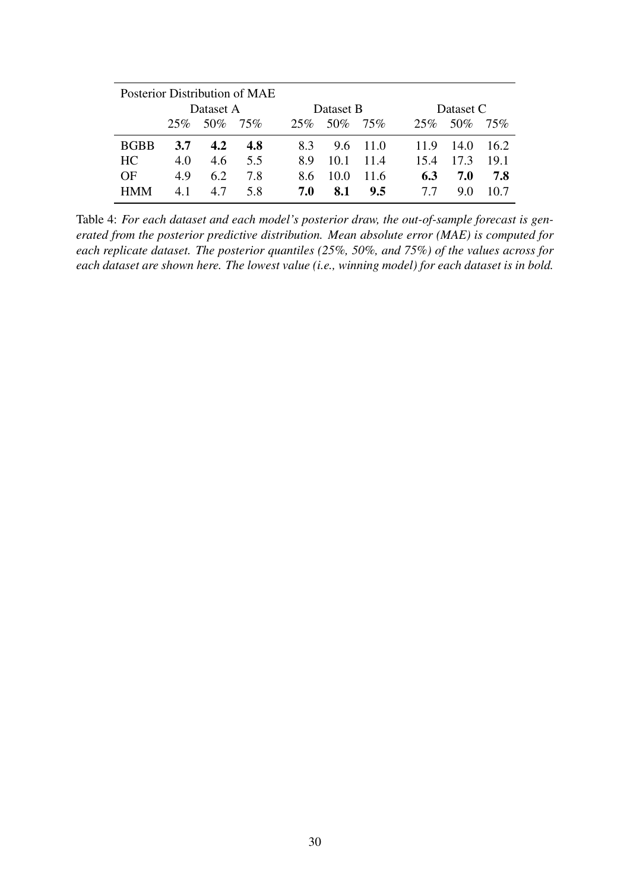|             | Posterior Distribution of MAE |     |     |           |      |         |           |      |      |
|-------------|-------------------------------|-----|-----|-----------|------|---------|-----------|------|------|
|             | Dataset A                     |     |     | Dataset B |      |         | Dataset C |      |      |
|             | 25%                           | 50% | 75% | 25%       | 50%  | 75%     | 25%       | 50%  | 75%  |
| <b>BGBB</b> | 3.7                           | 4.2 | 4.8 | 83        | 9.6  | $-11.0$ | 11.9      | 14.0 | 16.2 |
| HC          | 4.0                           | 4.6 | 5.5 | 89        | 10.1 | 11.4    | 15.4      | 17.3 | 19.1 |
| OF          | 4.9                           | 6.2 | 7.8 | 8.6       | 10.0 | 11.6    | 6.3       | 7.0  | 7.8  |
| HMM         | 4.1                           | 47  | 5.8 | 7.0       | 8.1  | 9.5     | 77        | 90   | 10.7 |

Table 4: *For each dataset and each model's posterior draw, the out-of-sample forecast is generated from the posterior predictive distribution. Mean absolute error (MAE) is computed for each replicate dataset. The posterior quantiles (25%, 50%, and 75%) of the values across for each dataset are shown here. The lowest value (i.e., winning model) for each dataset is in bold.*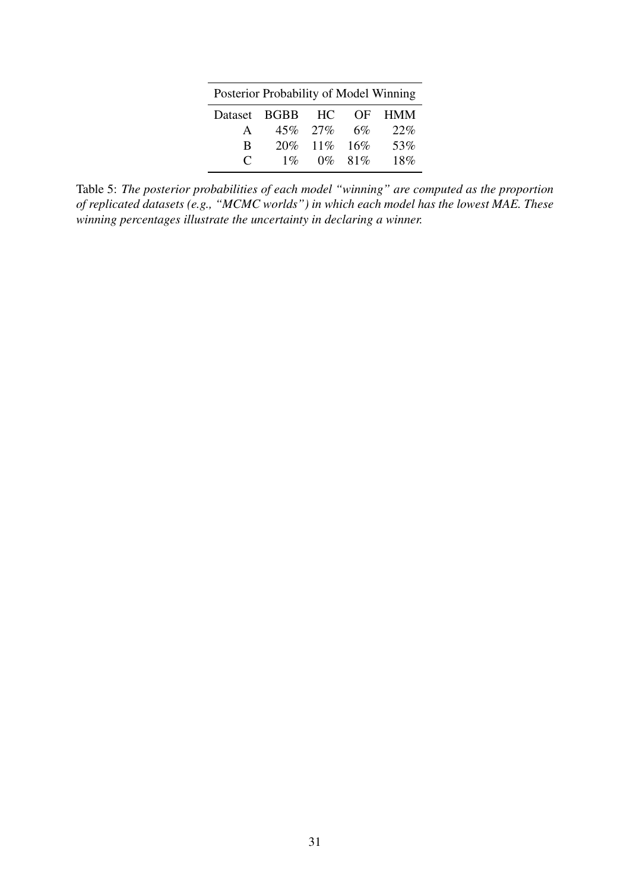| Posterior Probability of Model Winning |                 |               |            |            |
|----------------------------------------|-----------------|---------------|------------|------------|
|                                        | Dataset BGBB HC |               | - OF       | <b>HMM</b> |
| $\mathsf{A}$                           | $45\%$ 27%      |               | 6%         | 22%        |
| B                                      | 20%             | $11\% - 16\%$ |            | 53%        |
| $\mathcal{C}$                          | $1\%$           |               | $0\%$ 81\% | 18%        |

Table 5: *The posterior probabilities of each model "winning" are computed as the proportion of replicated datasets (e.g., "MCMC worlds") in which each model has the lowest MAE. These winning percentages illustrate the uncertainty in declaring a winner.*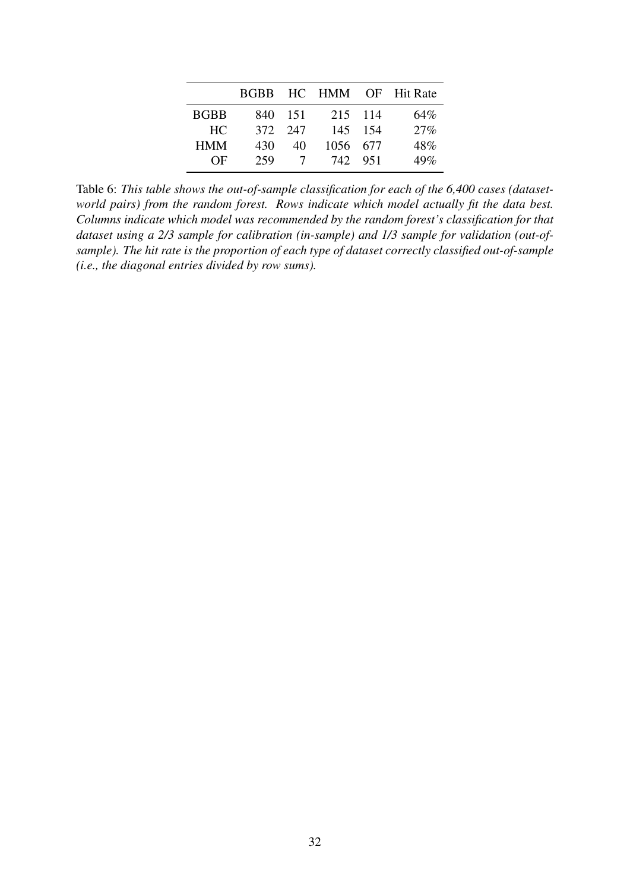|                 | <b>BGBB</b> |       |          |         | HC HMM OF Hit Rate |
|-----------------|-------------|-------|----------|---------|--------------------|
| <b>BGBB</b>     | 840         | - 151 | 215 114  |         | 64%                |
| HC <sub>1</sub> | 372 247     |       |          | 145 154 | 27%                |
| <b>HMM</b>      | 430         | 40    | 1056 677 |         | 48%                |
| ΩF              | 259         |       | 742 951  |         | 49%                |
|                 |             |       |          |         |                    |

Table 6: *This table shows the out-of-sample classification for each of the 6,400 cases (datasetworld pairs) from the random forest. Rows indicate which model actually fit the data best. Columns indicate which model was recommended by the random forest's classification for that dataset using a 2/3 sample for calibration (in-sample) and 1/3 sample for validation (out-ofsample). The hit rate is the proportion of each type of dataset correctly classified out-of-sample (i.e., the diagonal entries divided by row sums).*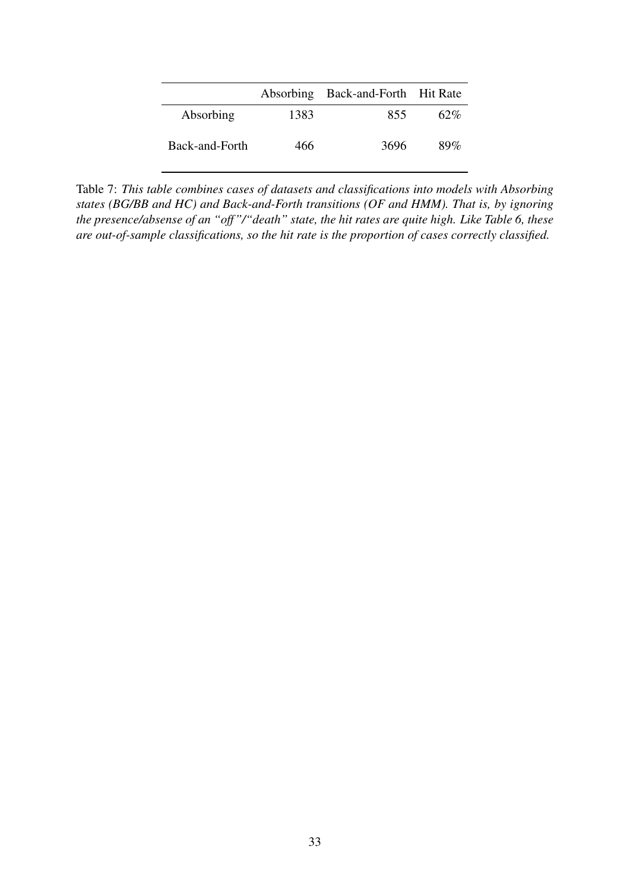|                |      | Absorbing Back-and-Forth Hit Rate |     |
|----------------|------|-----------------------------------|-----|
| Absorbing      | 1383 | 855                               | 62% |
| Back-and-Forth | 466  | 3696                              | 89% |

Table 7: *This table combines cases of datasets and classifications into models with Absorbing states (BG/BB and HC) and Back-and-Forth transitions (OF and HMM). That is, by ignoring the presence/absense of an "off"/"death" state, the hit rates are quite high. Like Table 6, these are out-of-sample classifications, so the hit rate is the proportion of cases correctly classified.*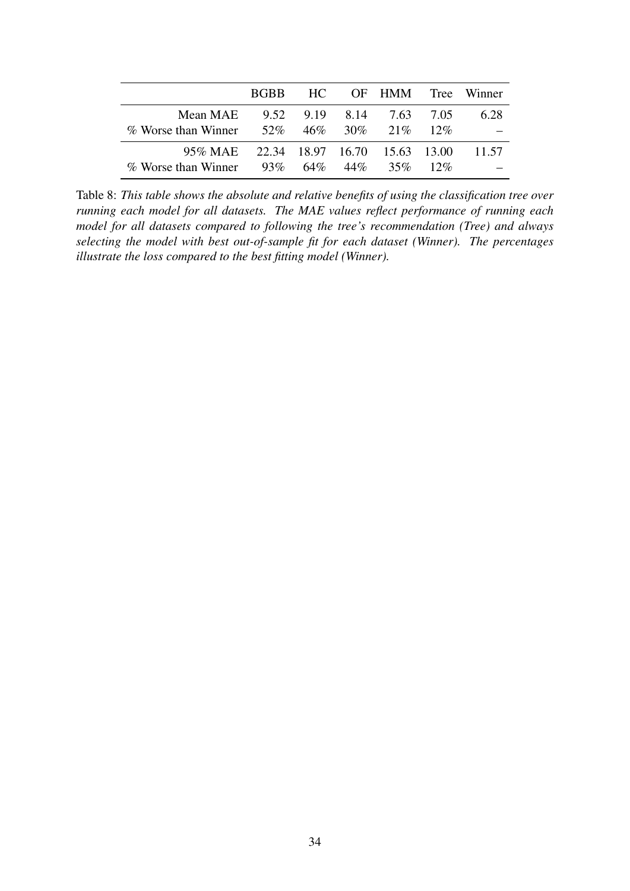|                                 | <b>BGBB</b>                             | HC.    |     |                                                         |     | OF HMM Tree Winner |
|---------------------------------|-----------------------------------------|--------|-----|---------------------------------------------------------|-----|--------------------|
| Mean MAE<br>% Worse than Winner |                                         |        |     | 9.52 9.19 8.14 7.63 7.05<br>$52\%$ $46\%$ $30\%$ $21\%$ | 12% | 6.28               |
| 95% MAE<br>% Worse than Winner  | 22.34 18.97 16.70 15.63 13.00<br>$93\%$ | $64\%$ | 44% | 35%                                                     | 12% | 11.57              |

Table 8: *This table shows the absolute and relative benefits of using the classification tree over running each model for all datasets. The MAE values reflect performance of running each model for all datasets compared to following the tree's recommendation (Tree) and always selecting the model with best out-of-sample fit for each dataset (Winner). The percentages illustrate the loss compared to the best fitting model (Winner).*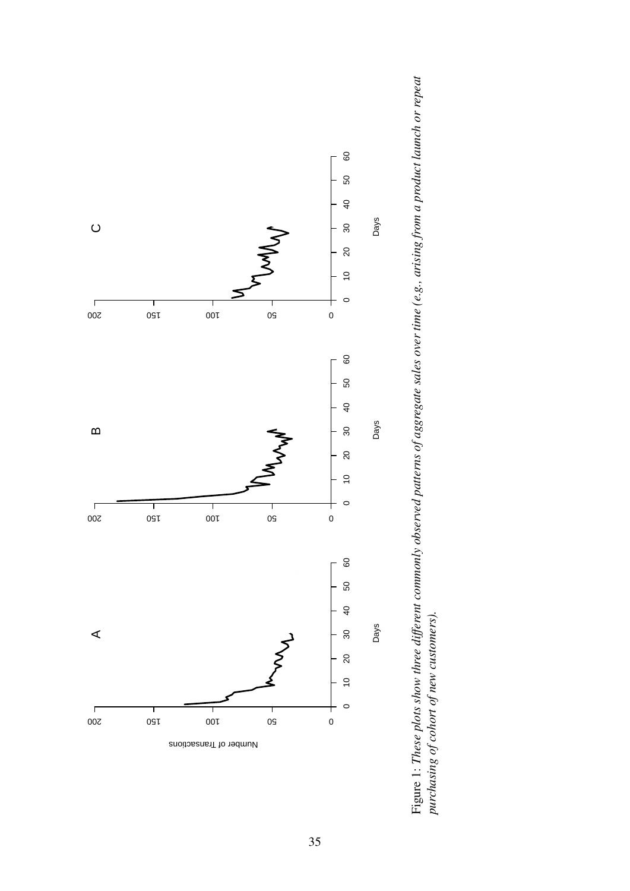

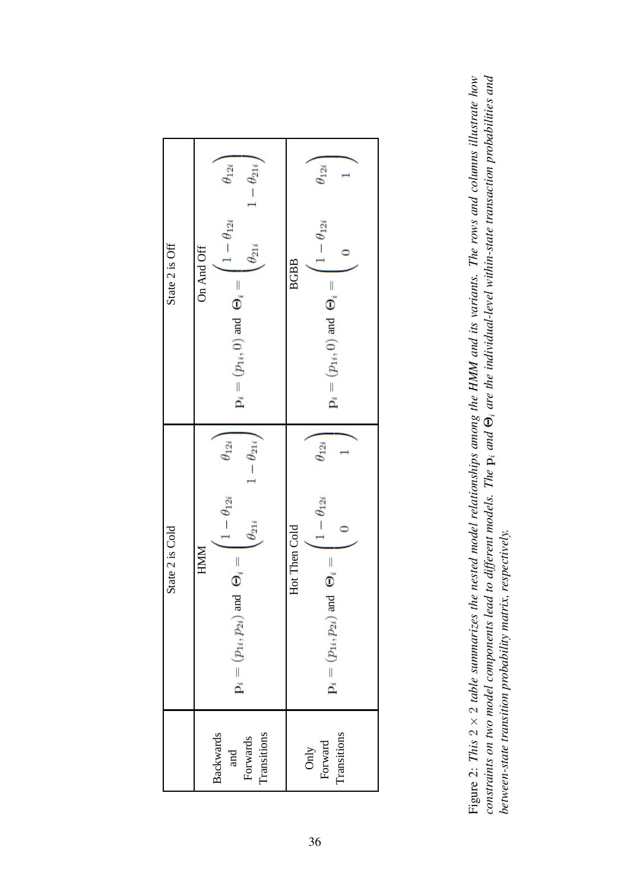| State 2 is Off  | $1-\theta_{21i}$<br>$\theta_{12i}$<br>$1-\theta_{12i}$<br>$\theta_{21i}$<br>On And Off<br>$\mathbf{p}_i = (p_{1i}, 0)$ and $\ \boldsymbol{\Theta}_i$ $=$ | $\theta_{12i}$<br>$1-\theta_{12i}$<br><b>BGBB</b><br>$\mathbf{p}_i = \left(p_{1i}, 0\right)$ and $\mathbf{\Theta}_i$ = |
|-----------------|----------------------------------------------------------------------------------------------------------------------------------------------------------|------------------------------------------------------------------------------------------------------------------------|
| State 2 is Cold | $\theta_{12i}$<br>$1-\theta_{21i}$<br>$1-\theta_{12i}$<br>$\theta_{21i}$<br>HMM<br>$\mathbf{p}_i = (p_{1i}, p_{2i})$ and $\boldsymbol{\Theta}_i$ $=$     | $\theta_{12i}$<br>$1 - \theta_{12i}$<br>Hot Then Cold<br>$\mathbf{p}_i = (p_{1i}, p_{2i})$ and $\mathbf{\Theta}_i =$   |
|                 | <b>Backwards</b><br>Transitions<br>Forwards<br>and                                                                                                       | Transitions<br>Only<br>Forward                                                                                         |

Figure 2: This  $2 \times 2$  table summarizes the nested model relationships among the HMM and its variants. The rows and columns illustrate how constraints on two model components lead to different models. The  $p_i$  and  $\Theta_i$  are the individual-level within-state transaction probabilities and constraints on two model components lead to different models. The  $p_i$  and  $\Theta_i$  are the individual-level within-state transaction probabilities and Figure 2: This  $2 \times 2$  table summarizes the nested model relationships among the HMM and its variants. The rows and columns illustrate how between-state transition probability matrix, respectively. *between-state transition probability matrix, respectively.*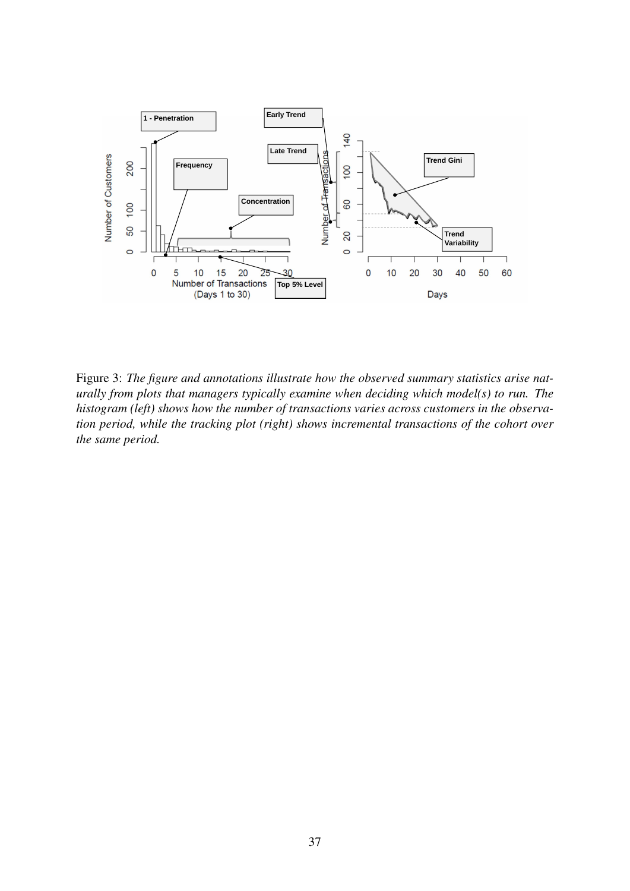

Figure 3: *The figure and annotations illustrate how the observed summary statistics arise naturally from plots that managers typically examine when deciding which model(s) to run. The histogram (left) shows how the number of transactions varies across customers in the observation period, while the tracking plot (right) shows incremental transactions of the cohort over the same period.*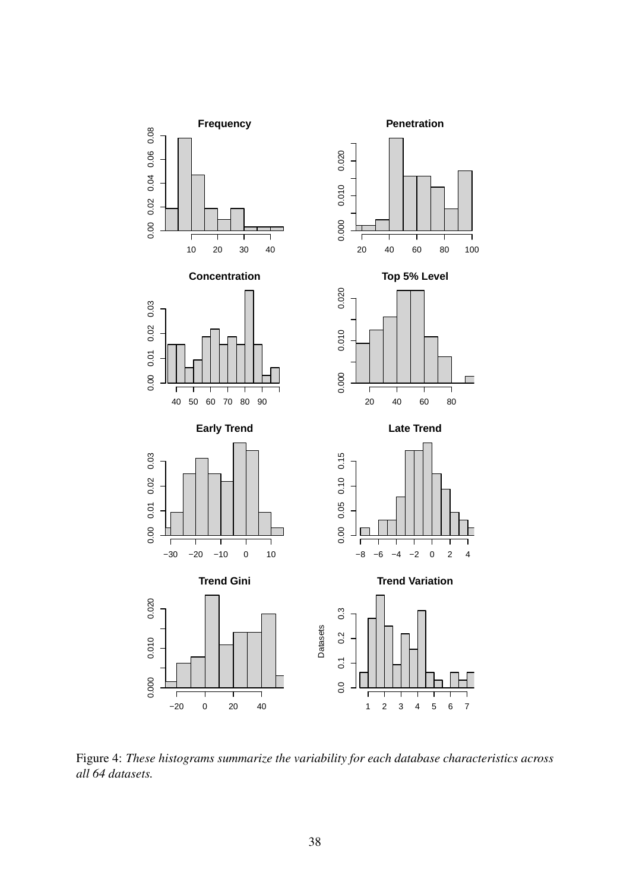

Figure 4: *These histograms summarize the variability for each database characteristics across all 64 datasets.*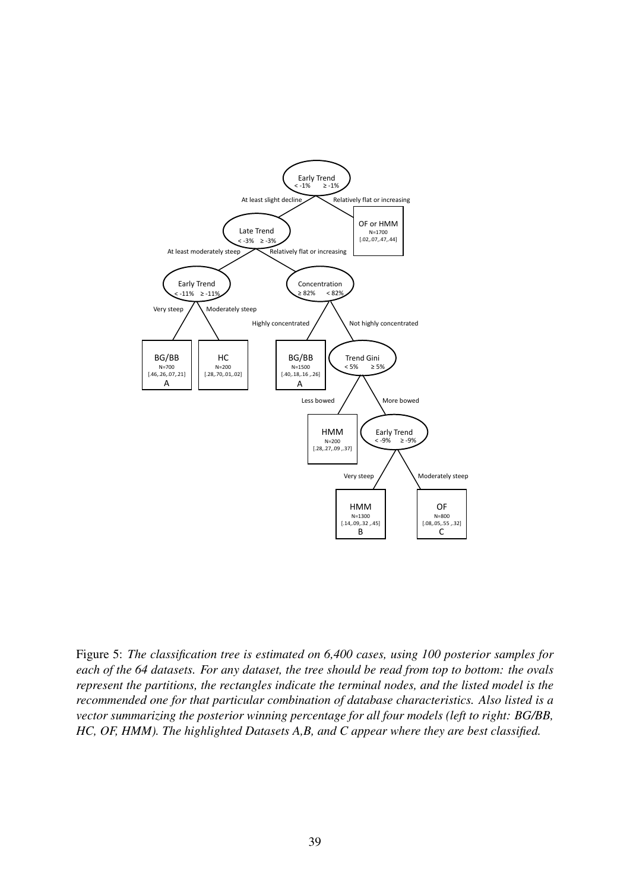

Figure 5: *The classification tree is estimated on 6,400 cases, using 100 posterior samples for each of the 64 datasets. For any dataset, the tree should be read from top to bottom: the ovals represent the partitions, the rectangles indicate the terminal nodes, and the listed model is the recommended one for that particular combination of database characteristics. Also listed is a vector summarizing the posterior winning percentage for all four models (left to right: BG/BB, HC, OF, HMM). The highlighted Datasets A,B, and C appear where they are best classified.*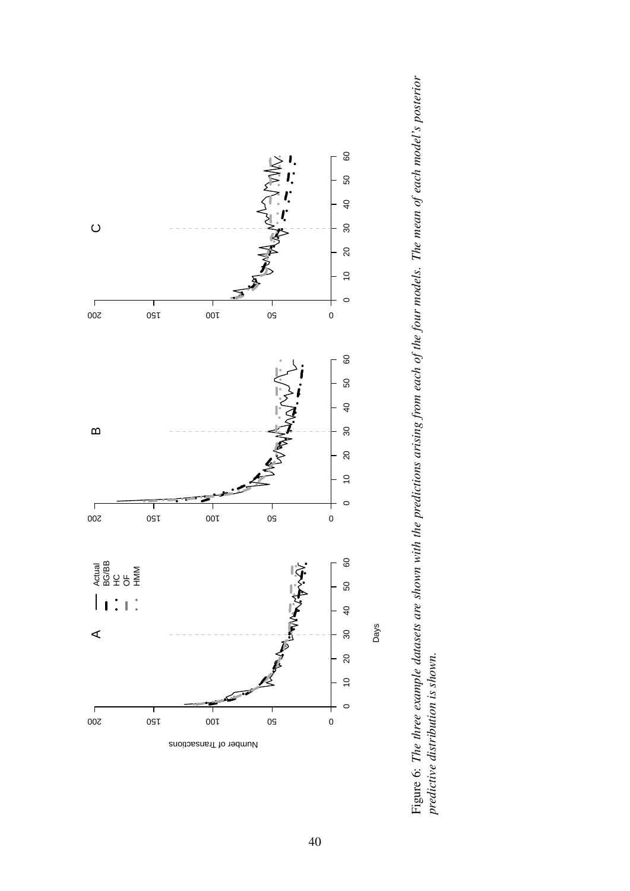

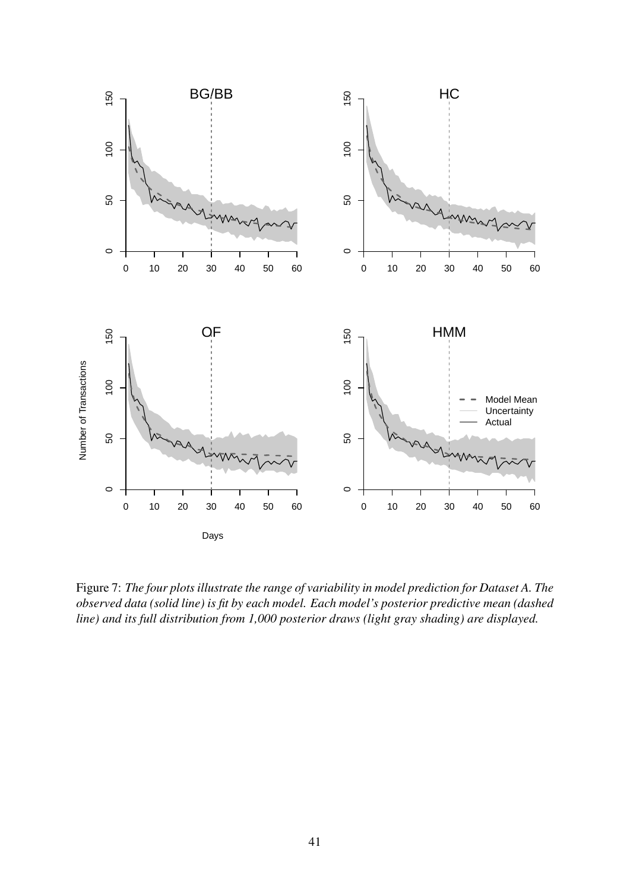

Figure 7: *The four plots illustrate the range of variability in model prediction for Dataset A. The observed data (solid line) is fit by each model. Each model's posterior predictive mean (dashed line) and its full distribution from 1,000 posterior draws (light gray shading) are displayed.*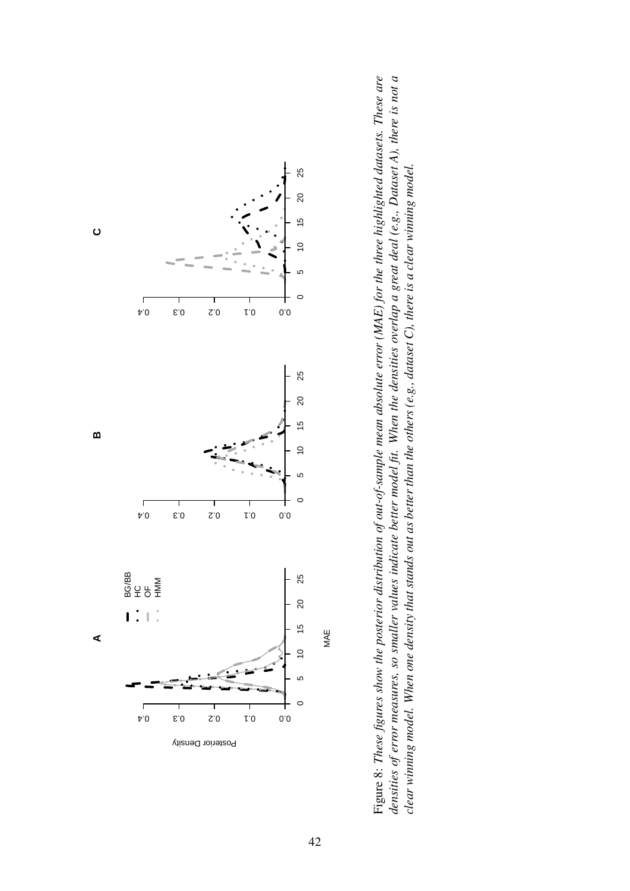

Figure 8: These figures show the posterior distribution of out-of-sample mean absolute error (MAE) for the three highlighted datasets. These are densities of error measures, so smaller values indicate better model fit. When the densities overlap a great deal (e.g., Dataset A), there is not a densities of error measures, so smaller values indicate better model fit. When the densities overlap a great deal (e.g., Dataset A), there is not a Figure 8: These figures show the posterior distribution of out-of-sample mean absolute error (MAE) for the three highlighted datasets. These are clear winning model. When one density that stands out as better than the others (e.g., dataset C), there is a clear winning model. clear winning model. When one density that stands out as better than the others (e.g., dataset C), there is a clear winning model.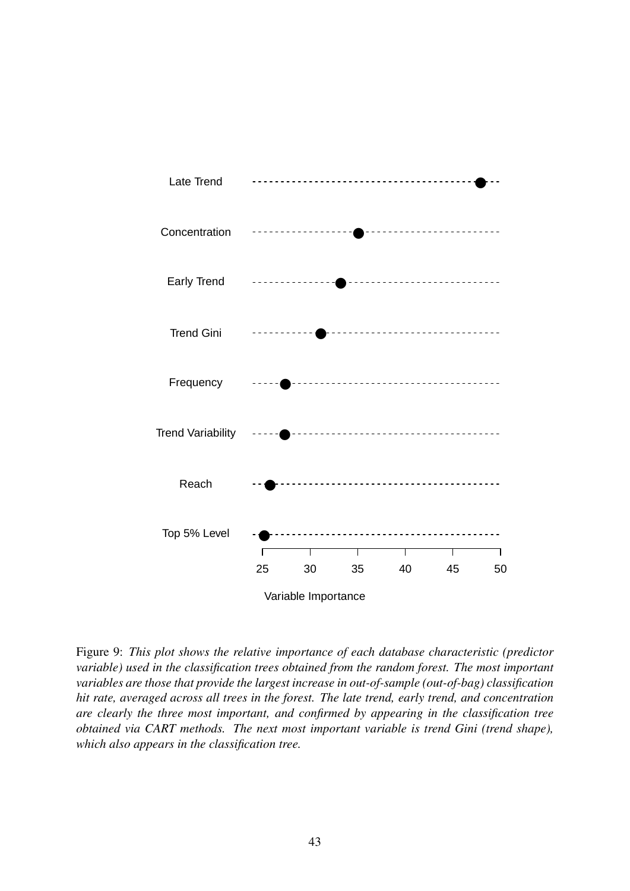

Figure 9: *This plot shows the relative importance of each database characteristic (predictor variable) used in the classification trees obtained from the random forest. The most important variables are those that provide the largest increase in out-of-sample (out-of-bag) classification hit rate, averaged across all trees in the forest. The late trend, early trend, and concentration are clearly the three most important, and confirmed by appearing in the classification tree obtained via CART methods. The next most important variable is trend Gini (trend shape), which also appears in the classification tree.*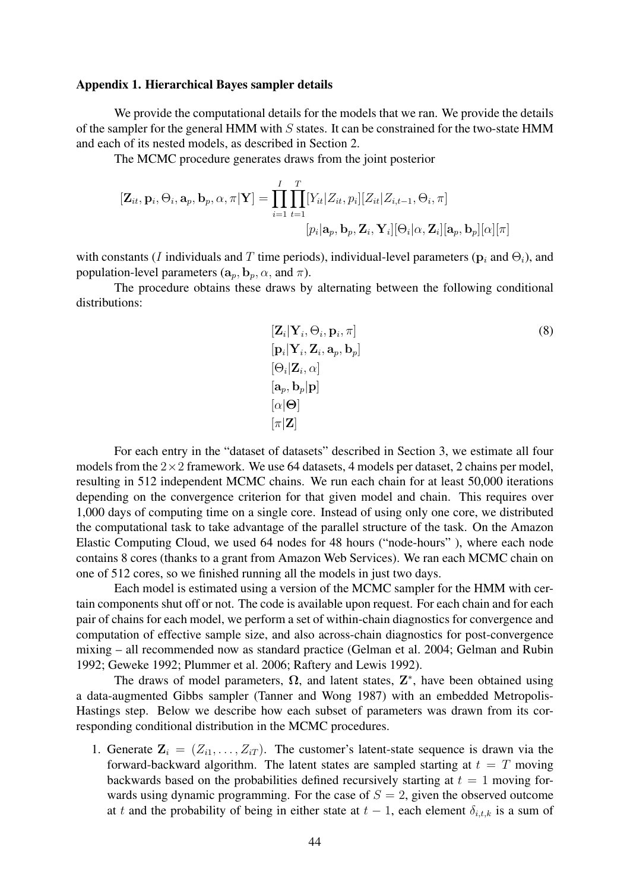#### Appendix 1. Hierarchical Bayes sampler details

We provide the computational details for the models that we ran. We provide the details of the sampler for the general HMM with  $S$  states. It can be constrained for the two-state HMM and each of its nested models, as described in Section 2.

The MCMC procedure generates draws from the joint posterior

$$
[\mathbf{Z}_{it}, \mathbf{p}_{i}, \Theta_{i}, \mathbf{a}_{p}, \mathbf{b}_{p}, \alpha, \pi | \mathbf{Y}] = \prod_{i=1}^{I} \prod_{t=1}^{T} [Y_{it} | Z_{it}, p_{i}] [Z_{it} | Z_{i,t-1}, \Theta_{i}, \pi]
$$

$$
[p_{i} | \mathbf{a}_{p}, \mathbf{b}_{p}, \mathbf{Z}_{i}, \mathbf{Y}_{i}] [\Theta_{i} | \alpha, \mathbf{Z}_{i}] [\mathbf{a}_{p}, \mathbf{b}_{p}] [\alpha] [\pi]
$$

with constants (I individuals and T time periods), individual-level parameters ( $p_i$  and  $\Theta_i$ ), and population-level parameters  $(a_n, b_n, \alpha,$  and  $\pi)$ .

The procedure obtains these draws by alternating between the following conditional distributions:

$$
[\mathbf{Z}_{i}|\mathbf{Y}_{i},\Theta_{i},\mathbf{p}_{i},\pi]
$$
\n
$$
[\mathbf{p}_{i}|\mathbf{Y}_{i},\mathbf{Z}_{i},\mathbf{a}_{p},\mathbf{b}_{p}]
$$
\n
$$
[\Theta_{i}|\mathbf{Z}_{i},\alpha]
$$
\n
$$
[\mathbf{a}_{p},\mathbf{b}_{p}|\mathbf{p}]
$$
\n
$$
[\alpha|\mathbf{\Theta}]
$$
\n
$$
[\pi|\mathbf{Z}]
$$
\n(8)

For each entry in the "dataset of datasets" described in Section 3, we estimate all four models from the  $2 \times 2$  framework. We use 64 datasets, 4 models per dataset, 2 chains per model, resulting in 512 independent MCMC chains. We run each chain for at least 50,000 iterations depending on the convergence criterion for that given model and chain. This requires over 1,000 days of computing time on a single core. Instead of using only one core, we distributed the computational task to take advantage of the parallel structure of the task. On the Amazon Elastic Computing Cloud, we used 64 nodes for 48 hours ("node-hours" ), where each node contains 8 cores (thanks to a grant from Amazon Web Services). We ran each MCMC chain on one of 512 cores, so we finished running all the models in just two days.

Each model is estimated using a version of the MCMC sampler for the HMM with certain components shut off or not. The code is available upon request. For each chain and for each pair of chains for each model, we perform a set of within-chain diagnostics for convergence and computation of effective sample size, and also across-chain diagnostics for post-convergence mixing – all recommended now as standard practice (Gelman et al. 2004; Gelman and Rubin 1992; Geweke 1992; Plummer et al. 2006; Raftery and Lewis 1992).

The draws of model parameters,  $\Omega$ , and latent states,  $\mathbf{Z}^*$ , have been obtained using a data-augmented Gibbs sampler (Tanner and Wong 1987) with an embedded Metropolis-Hastings step. Below we describe how each subset of parameters was drawn from its corresponding conditional distribution in the MCMC procedures.

1. Generate  $\mathbf{Z}_i = (Z_{i1}, \dots, Z_{iT})$ . The customer's latent-state sequence is drawn via the forward-backward algorithm. The latent states are sampled starting at  $t = T$  moving backwards based on the probabilities defined recursively starting at  $t = 1$  moving forwards using dynamic programming. For the case of  $S = 2$ , given the observed outcome at t and the probability of being in either state at  $t - 1$ , each element  $\delta_{i,t,k}$  is a sum of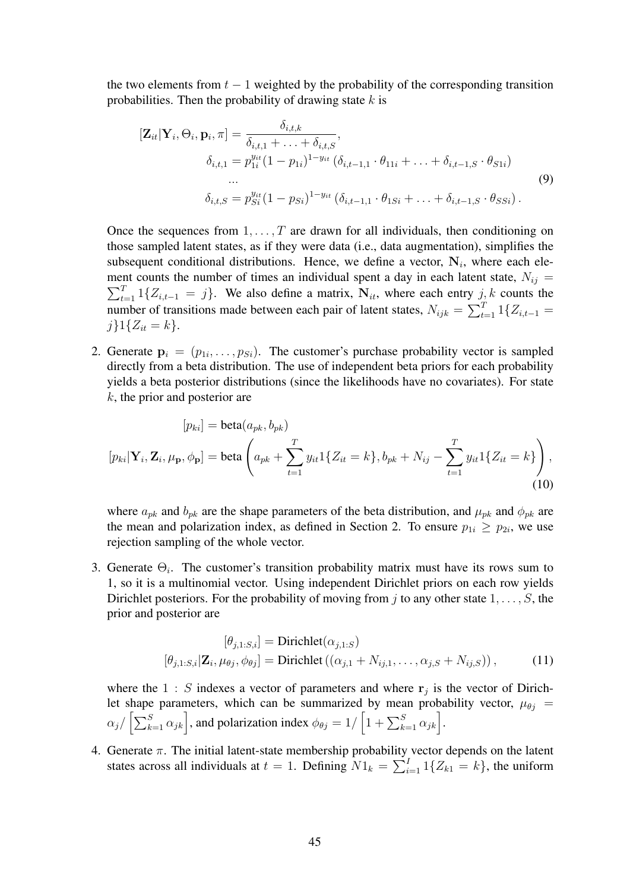the two elements from  $t - 1$  weighted by the probability of the corresponding transition probabilities. Then the probability of drawing state  $k$  is

$$
[\mathbf{Z}_{it}|\mathbf{Y}_{i},\Theta_{i},\mathbf{p}_{i},\pi] = \frac{\delta_{i,t,k}}{\delta_{i,t,1} + \ldots + \delta_{i,t,S}},
$$
  
\n
$$
\delta_{i,t,1} = p_{1i}^{y_{it}}(1 - p_{1i})^{1 - y_{it}}(\delta_{i,t-1,1} \cdot \theta_{11i} + \ldots + \delta_{i,t-1,S} \cdot \theta_{S1i})
$$
  
\n...  
\n
$$
\delta_{i,t,S} = p_{Si}^{y_{it}}(1 - p_{Si})^{1 - y_{it}}(\delta_{i,t-1,1} \cdot \theta_{1Si} + \ldots + \delta_{i,t-1,S} \cdot \theta_{SSi}).
$$
\n(9)

Once the sequences from  $1, \ldots, T$  are drawn for all individuals, then conditioning on those sampled latent states, as if they were data (i.e., data augmentation), simplifies the subsequent conditional distributions. Hence, we define a vector,  $N_i$ , where each element counts the number of times an individual spent a day in each latent state,  $N_{ij} =$  $\sum_{t=1}^{T} 1\{Z_{i,t-1} = j\}$ . We also define a matrix,  $N_{it}$ , where each entry  $j, k$  counts the number of transitions made between each pair of latent states,  $N_{ijk} = \sum_{t=1}^{T} 1\{Z_{i,t-1} =$  $j\}1\{Z_{it} = k\}.$ 

2. Generate  $\mathbf{p}_i = (p_{1i}, \dots, p_{Si})$ . The customer's purchase probability vector is sampled directly from a beta distribution. The use of independent beta priors for each probability yields a beta posterior distributions (since the likelihoods have no covariates). For state  $k$ , the prior and posterior are

$$
[p_{ki}] = \text{beta}(a_{pk}, b_{pk})
$$
  

$$
[p_{ki}|\mathbf{Y}_i, \mathbf{Z}_i, \mu_{\mathbf{p}}, \phi_{\mathbf{p}}] = \text{beta}\left(a_{pk} + \sum_{t=1}^T y_{it} 1\{Z_{it} = k\}, b_{pk} + N_{ij} - \sum_{t=1}^T y_{it} 1\{Z_{it} = k\}\right),
$$
  
(10)

where  $a_{pk}$  and  $b_{pk}$  are the shape parameters of the beta distribution, and  $\mu_{pk}$  and  $\phi_{pk}$  are the mean and polarization index, as defined in Section 2. To ensure  $p_{1i} \ge p_{2i}$ , we use rejection sampling of the whole vector.

3. Generate  $\Theta_i$ . The customer's transition probability matrix must have its rows sum to 1, so it is a multinomial vector. Using independent Dirichlet priors on each row yields Dirichlet posteriors. For the probability of moving from j to any other state  $1, \ldots, S$ , the prior and posterior are

$$
[\theta_{j,1:S,i}] = \text{Dirichlet}(\alpha_{j,1:S})
$$

$$
[\theta_{j,1:S,i}|\mathbf{Z}_i, \mu_{\theta j}, \phi_{\theta j}] = \text{Dirichlet}((\alpha_{j,1} + N_{ij,1}, \dots, \alpha_{j,S} + N_{ij,S})),
$$
(11)

where the 1 : S indexes a vector of parameters and where  $r_j$  is the vector of Dirichlet shape parameters, which can be summarized by mean probability vector,  $\mu_{\theta j}$  =  $\alpha_j / \left[ \sum_{k=1}^S \alpha_{jk} \right]$ , and polarization index  $\phi_{\theta j} = 1 / \left[ 1 + \sum_{k=1}^S \alpha_{jk} \right]$ .

4. Generate  $\pi$ . The initial latent-state membership probability vector depends on the latent states across all individuals at  $t = 1$ . Defining  $N1_k = \sum_{i=1}^{I} 1\{Z_{k1} = k\}$ , the uniform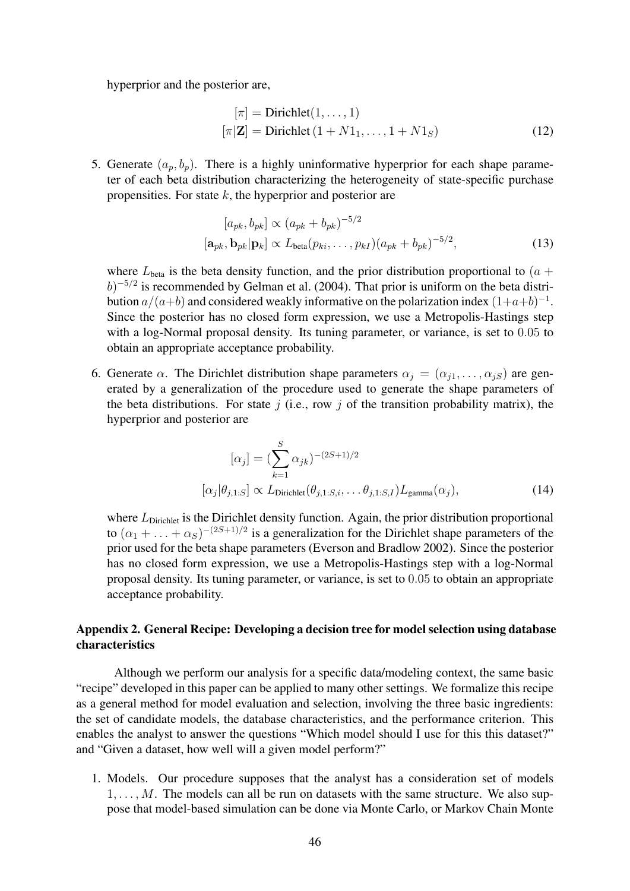hyperprior and the posterior are,

$$
[\pi] = \text{Dirichlet}(1, \dots, 1)
$$

$$
[\pi | \mathbf{Z}] = \text{Dirichlet}(1 + N1_1, \dots, 1 + N1_S)
$$
(12)

5. Generate  $(a_p, b_p)$ . There is a highly uninformative hyperprior for each shape parameter of each beta distribution characterizing the heterogeneity of state-specific purchase propensities. For state  $k$ , the hyperprior and posterior are

$$
[a_{pk}, b_{pk}] \propto (a_{pk} + b_{pk})^{-5/2}
$$
  
\n
$$
[\mathbf{a}_{pk}, \mathbf{b}_{pk} | \mathbf{p}_k] \propto L_{\text{beta}}(p_{ki}, \dots, p_{kI}) (a_{pk} + b_{pk})^{-5/2},
$$
\n(13)

where  $L_{\text{beta}}$  is the beta density function, and the prior distribution proportional to (a +  $(b)^{-5/2}$  is recommended by Gelman et al. (2004). That prior is uniform on the beta distribution  $a/(a+b)$  and considered weakly informative on the polarization index  $(1+a+b)^{-1}$ . Since the posterior has no closed form expression, we use a Metropolis-Hastings step with a log-Normal proposal density. Its tuning parameter, or variance, is set to 0.05 to obtain an appropriate acceptance probability.

6. Generate  $\alpha$ . The Dirichlet distribution shape parameters  $\alpha_i = (\alpha_{i1}, \ldots, \alpha_{iS})$  are generated by a generalization of the procedure used to generate the shape parameters of the beta distributions. For state  $j$  (i.e., row  $j$  of the transition probability matrix), the hyperprior and posterior are

$$
[\alpha_j] = (\sum_{k=1}^{S} \alpha_{jk})^{-(2S+1)/2}
$$

$$
[\alpha_j | \theta_{j,1:S}] \propto L_{\text{Dirichlet}}(\theta_{j,1:S,i}, \dots \theta_{j,1:S,I}) L_{\text{gamma}}(\alpha_j), \qquad (14)
$$

where  $L_{\text{Dirichlet}}$  is the Dirichlet density function. Again, the prior distribution proportional to  $(\alpha_1 + \ldots + \alpha_S)^{-(2S+1)/2}$  is a generalization for the Dirichlet shape parameters of the prior used for the beta shape parameters (Everson and Bradlow 2002). Since the posterior has no closed form expression, we use a Metropolis-Hastings step with a log-Normal proposal density. Its tuning parameter, or variance, is set to 0.05 to obtain an appropriate acceptance probability.

# Appendix 2. General Recipe: Developing a decision tree for model selection using database characteristics

Although we perform our analysis for a specific data/modeling context, the same basic "recipe" developed in this paper can be applied to many other settings. We formalize this recipe as a general method for model evaluation and selection, involving the three basic ingredients: the set of candidate models, the database characteristics, and the performance criterion. This enables the analyst to answer the questions "Which model should I use for this this dataset?" and "Given a dataset, how well will a given model perform?"

1. Models. Our procedure supposes that the analyst has a consideration set of models  $1, \ldots, M$ . The models can all be run on datasets with the same structure. We also suppose that model-based simulation can be done via Monte Carlo, or Markov Chain Monte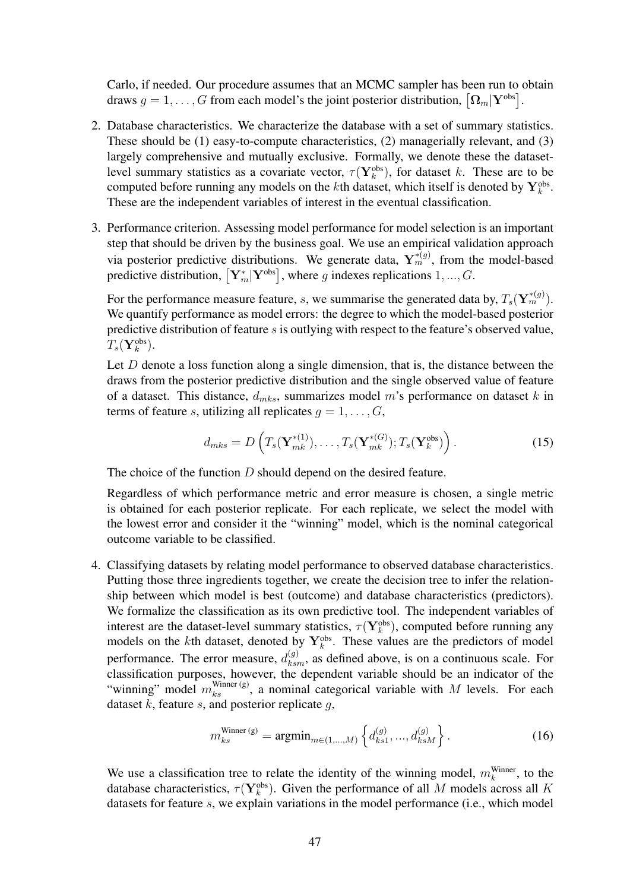Carlo, if needed. Our procedure assumes that an MCMC sampler has been run to obtain draws  $g = 1, \ldots, G$  from each model's the joint posterior distribution,  $\left[\mathbf{\Omega}_m | \mathbf{Y}^{\text{obs}}\right]$ .

- 2. Database characteristics. We characterize the database with a set of summary statistics. These should be (1) easy-to-compute characteristics, (2) managerially relevant, and (3) largely comprehensive and mutually exclusive. Formally, we denote these the datasetlevel summary statistics as a covariate vector,  $\tau(Y_k^{\text{obs}})$ , for dataset k. These are to be computed before running any models on the kth dataset, which itself is denoted by  $Y_k^{obs}$ . These are the independent variables of interest in the eventual classification.
- 3. Performance criterion. Assessing model performance for model selection is an important step that should be driven by the business goal. We use an empirical validation approach via posterior predictive distributions. We generate data,  $Y_m^{*(g)}$ , from the model-based predictive distribution,  $\left[\mathbf{Y}_m^*|\mathbf{Y}^{\text{obs}}\right]$ , where g indexes replications  $1, ..., G$ .

For the performance measure feature, s, we summarise the generated data by,  $T_s(\mathbf{Y}_m^{*(g)})$ . We quantify performance as model errors: the degree to which the model-based posterior predictive distribution of feature  $s$  is outlying with respect to the feature's observed value,  $T_s(\mathbf{Y}_k^{\text{obs}}).$ 

Let  $D$  denote a loss function along a single dimension, that is, the distance between the draws from the posterior predictive distribution and the single observed value of feature of a dataset. This distance,  $d_{\text{mks}}$ , summarizes model m's performance on dataset k in terms of feature s, utilizing all replicates  $q = 1, \ldots, G$ ,

$$
d_{mks} = D\left(T_s(\mathbf{Y}_{mk}^{*(1)}), \dots, T_s(\mathbf{Y}_{mk}^{*(G)}); T_s(\mathbf{Y}_k^{obs})\right). \tag{15}
$$

The choice of the function  $D$  should depend on the desired feature.

Regardless of which performance metric and error measure is chosen, a single metric is obtained for each posterior replicate. For each replicate, we select the model with the lowest error and consider it the "winning" model, which is the nominal categorical outcome variable to be classified.

4. Classifying datasets by relating model performance to observed database characteristics. Putting those three ingredients together, we create the decision tree to infer the relationship between which model is best (outcome) and database characteristics (predictors). We formalize the classification as its own predictive tool. The independent variables of interest are the dataset-level summary statistics,  $\tau(Y_k^{\text{obs}})$ , computed before running any models on the kth dataset, denoted by  $Y_k^{obs}$ . These values are the predictors of model performance. The error measure,  $d_{ksm}^{(g)}$ , as defined above, is on a continuous scale. For classification purposes, however, the dependent variable should be an indicator of the "winning" model  $m_{ks}^{\text{Winner(g)}}$ , a nominal categorical variable with M levels. For each dataset  $k$ , feature  $s$ , and posterior replicate  $q$ ,

$$
m_{ks}^{\text{Winner (g)}} = \text{argmin}_{m \in (1, ..., M)} \left\{ d_{ks1}^{(g)}, ..., d_{ksM}^{(g)} \right\}.
$$
 (16)

We use a classification tree to relate the identity of the winning model,  $m_k^{\text{Winner}}$ , to the database characteristics,  $\tau(Y_k^{\text{obs}})$ . Given the performance of all M models across all K datasets for feature s, we explain variations in the model performance (i.e., which model